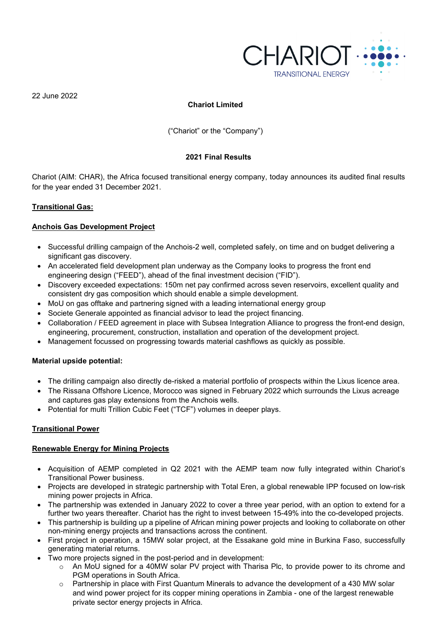

22 June 2022

# **Chariot Limited**

("Chariot" or the "Company")

# **2021 Final Results**

Chariot (AIM: CHAR), the Africa focused transitional energy company, today announces its audited final results for the year ended 31 December 2021.

### **Transitional Gas:**

# **Anchois Gas Development Project**

- Successful drilling campaign of the Anchois-2 well, completed safely, on time and on budget delivering a significant gas discovery.
- An accelerated field development plan underway as the Company looks to progress the front end engineering design ("FEED"), ahead of the final investment decision ("FID").
- Discovery exceeded expectations: 150m net pay confirmed across seven reservoirs, excellent quality and consistent dry gas composition which should enable a simple development.
- MoU on gas offtake and partnering signed with a leading international energy group
- Societe Generale appointed as financial advisor to lead the project financing.
- Collaboration / FEED agreement in place with Subsea Integration Alliance to progress the front-end design, engineering, procurement, construction, installation and operation of the development project.
- Management focussed on progressing towards material cashflows as quickly as possible.

# **Material upside potential:**

- The drilling campaign also directly de-risked a material portfolio of prospects within the Lixus licence area.
- The Rissana Offshore Licence, Morocco was signed in February 2022 which surrounds the Lixus acreage and captures gas play extensions from the Anchois wells.
- Potential for multi Trillion Cubic Feet ("TCF") volumes in deeper plays.

# **Transitional Power**

# **Renewable Energy for Mining Projects**

- Acquisition of AEMP completed in Q2 2021 with the AEMP team now fully integrated within Chariot's Transitional Power business.
- Projects are developed in strategic partnership with Total Eren, a global renewable IPP focused on low-risk mining power projects in Africa.
- The partnership was extended in January 2022 to cover a three year period, with an option to extend for a further two years thereafter. Chariot has the right to invest between 15-49% into the co-developed projects.
- This partnership is building up a pipeline of African mining power projects and looking to collaborate on other non-mining energy projects and transactions across the continent.
- First project in operation, a 15MW solar project, at the Essakane gold mine in Burkina Faso, successfully generating material returns.
- Two more projects signed in the post-period and in development:
	- o An MoU signed for a 40MW solar PV project with Tharisa Plc, to provide power to its chrome and PGM operations in South Africa.
	- $\circ$  Partnership in place with First Quantum Minerals to advance the development of a 430 MW solar and wind power project for its copper mining operations in Zambia - one of the largest renewable private sector energy projects in Africa.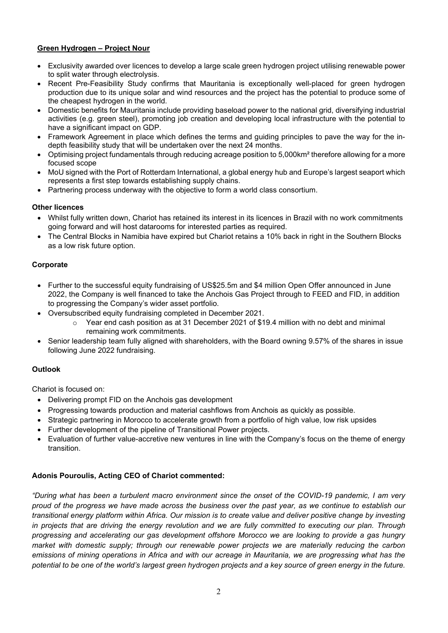# **Green Hydrogen – Project Nour**

- Exclusivity awarded over licences to develop a large scale green hydrogen project utilising renewable power to split water through electrolysis.
- Recent Pre-Feasibility Study confirms that Mauritania is exceptionally well-placed for green hydrogen production due to its unique solar and wind resources and the project has the potential to produce some of the cheapest hydrogen in the world.
- Domestic benefits for Mauritania include providing baseload power to the national grid, diversifying industrial activities (e.g. green steel), promoting job creation and developing local infrastructure with the potential to have a significant impact on GDP.
- Framework Agreement in place which defines the terms and guiding principles to pave the way for the indepth feasibility study that will be undertaken over the next 24 months.
- Optimising project fundamentals through reducing acreage position to 5,000km² therefore allowing for a more focused scope
- MoU signed with the Port of Rotterdam International, a global energy hub and Europe's largest seaport which represents a first step towards establishing supply chains.
- Partnering process underway with the objective to form a world class consortium.

# **Other licences**

- Whilst fully written down, Chariot has retained its interest in its licences in Brazil with no work commitments going forward and will host datarooms for interested parties as required.
- The Central Blocks in Namibia have expired but Chariot retains a 10% back in right in the Southern Blocks as a low risk future option.

# **Corporate**

- Further to the successful equity fundraising of US\$25.5m and \$4 million Open Offer announced in June 2022, the Company is well financed to take the Anchois Gas Project through to FEED and FID, in addition to progressing the Company's wider asset portfolio.
- Oversubscribed equity fundraising completed in December 2021.
	- $\circ$  Year end cash position as at 31 December 2021 of \$19.4 million with no debt and minimal remaining work commitments.
- Senior leadership team fully aligned with shareholders, with the Board owning 9.57% of the shares in issue following June 2022 fundraising.

# **Outlook**

Chariot is focused on:

- Delivering prompt FID on the Anchois gas development
- Progressing towards production and material cashflows from Anchois as quickly as possible.
- Strategic partnering in Morocco to accelerate growth from a portfolio of high value, low risk upsides
- Further development of the pipeline of Transitional Power projects.
- Evaluation of further value-accretive new ventures in line with the Company's focus on the theme of energy transition.

# **Adonis Pouroulis, Acting CEO of Chariot commented:**

*"During what has been a turbulent macro environment since the onset of the COVID-19 pandemic, I am very proud of the progress we have made across the business over the past year, as we continue to establish our transitional energy platform within Africa. Our mission is to create value and deliver positive change by investing in projects that are driving the energy revolution and we are fully committed to executing our plan. Through progressing and accelerating our gas development offshore Morocco we are looking to provide a gas hungry market with domestic supply; through our renewable power projects we are materially reducing the carbon emissions of mining operations in Africa and with our acreage in Mauritania, we are progressing what has the potential to be one of the world's largest green hydrogen projects and a key source of green energy in the future.*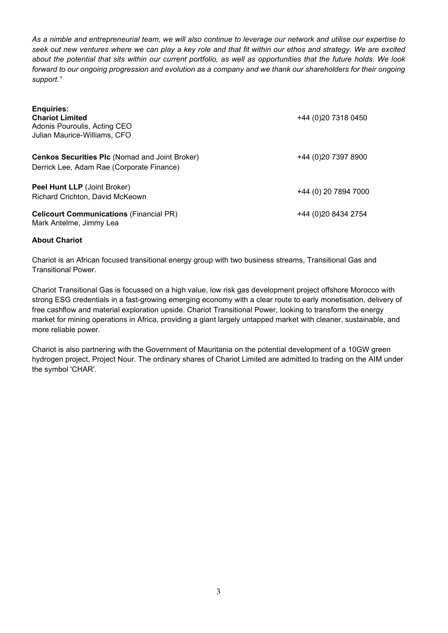*As a nimble and entrepreneurial team, we will also continue to leverage our network and utilise our expertise to seek out new ventures where we can play a key role and that fit within our ethos and strategy. We are excited about the potential that sits within our current portfolio, as well as opportunities that the future holds. We look forward to our ongoing progression and evolution as a company and we thank our shareholders for their ongoing support."* 

| <b>Enquiries:</b><br><b>Chariot Limited</b><br>Adonis Pouroulis, Acting CEO<br>Julian Maurice-Williams, CFO | +44 (0) 20 7318 0450 |
|-------------------------------------------------------------------------------------------------------------|----------------------|
| <b>Cenkos Securities PIc (Nomad and Joint Broker)</b><br>Derrick Lee, Adam Rae (Corporate Finance)          | +44 (0) 20 7397 8900 |
| Peel Hunt LLP (Joint Broker)<br>Richard Crichton, David McKeown                                             | +44 (0) 20 7894 7000 |
| <b>Celicourt Communications (Financial PR)</b><br>Mark Antelme, Jimmy Lea                                   | +44 (0) 20 8434 2754 |

# **About Chariot**

Chariot is an African focused transitional energy group with two business streams, Transitional Gas and Transitional Power.

Chariot Transitional Gas is focussed on a high value, low risk gas development project offshore Morocco with strong ESG credentials in a fast-growing emerging economy with a clear route to early monetisation, delivery of free cashflow and material exploration upside. Chariot Transitional Power, looking to transform the energy market for mining operations in Africa, providing a giant largely untapped market with cleaner, sustainable, and more reliable power.

Chariot is also partnering with the Government of Mauritania on the potential development of a 10GW green hydrogen project, Project Nour. The ordinary shares of Chariot Limited are admitted to trading on the AIM under the symbol 'CHAR'.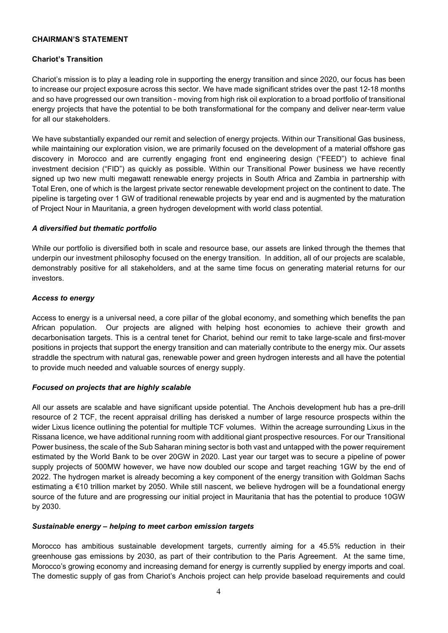# **CHAIRMAN'S STATEMENT**

# **Chariot's Transition**

Chariot's mission is to play a leading role in supporting the energy transition and since 2020, our focus has been to increase our project exposure across this sector. We have made significant strides over the past 12-18 months and so have progressed our own transition - moving from high risk oil exploration to a broad portfolio of transitional energy projects that have the potential to be both transformational for the company and deliver near-term value for all our stakeholders.

We have substantially expanded our remit and selection of energy projects. Within our Transitional Gas business, while maintaining our exploration vision, we are primarily focused on the development of a material offshore gas discovery in Morocco and are currently engaging front end engineering design ("FEED") to achieve final investment decision ("FID") as quickly as possible. Within our Transitional Power business we have recently signed up two new multi megawatt renewable energy projects in South Africa and Zambia in partnership with Total Eren, one of which is the largest private sector renewable development project on the continent to date. The pipeline is targeting over 1 GW of traditional renewable projects by year end and is augmented by the maturation of Project Nour in Mauritania, a green hydrogen development with world class potential.

# *A diversified but thematic portfolio*

While our portfolio is diversified both in scale and resource base, our assets are linked through the themes that underpin our investment philosophy focused on the energy transition. In addition, all of our projects are scalable, demonstrably positive for all stakeholders, and at the same time focus on generating material returns for our investors.

### *Access to energy*

Access to energy is a universal need, a core pillar of the global economy, and something which benefits the pan African population. Our projects are aligned with helping host economies to achieve their growth and decarbonisation targets. This is a central tenet for Chariot, behind our remit to take large-scale and first-mover positions in projects that support the energy transition and can materially contribute to the energy mix. Our assets straddle the spectrum with natural gas, renewable power and green hydrogen interests and all have the potential to provide much needed and valuable sources of energy supply.

# *Focused on projects that are highly scalable*

All our assets are scalable and have significant upside potential. The Anchois development hub has a pre-drill resource of 2 TCF, the recent appraisal drilling has derisked a number of large resource prospects within the wider Lixus licence outlining the potential for multiple TCF volumes. Within the acreage surrounding Lixus in the Rissana licence, we have additional running room with additional giant prospective resources. For our Transitional Power business, the scale of the Sub Saharan mining sector is both vast and untapped with the power requirement estimated by the World Bank to be over 20GW in 2020. Last year our target was to secure a pipeline of power supply projects of 500MW however, we have now doubled our scope and target reaching 1GW by the end of 2022. The hydrogen market is already becoming a key component of the energy transition with Goldman Sachs estimating a €10 trillion market by 2050. While still nascent, we believe hydrogen will be a foundational energy source of the future and are progressing our initial project in Mauritania that has the potential to produce 10GW by 2030.

# *Sustainable energy – helping to meet carbon emission targets*

Morocco has ambitious sustainable development targets, currently aiming for a 45.5% reduction in their greenhouse gas emissions by 2030, as part of their contribution to the Paris Agreement. At the same time, Morocco's growing economy and increasing demand for energy is currently supplied by energy imports and coal. The domestic supply of gas from Chariot's Anchois project can help provide baseload requirements and could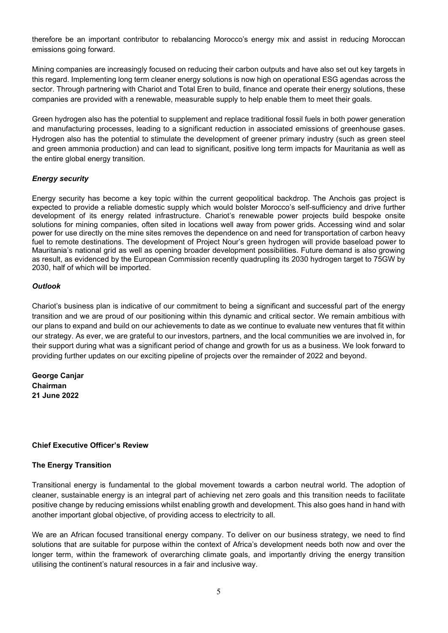therefore be an important contributor to rebalancing Morocco's energy mix and assist in reducing Moroccan emissions going forward.

Mining companies are increasingly focused on reducing their carbon outputs and have also set out key targets in this regard. Implementing long term cleaner energy solutions is now high on operational ESG agendas across the sector. Through partnering with Chariot and Total Eren to build, finance and operate their energy solutions, these companies are provided with a renewable, measurable supply to help enable them to meet their goals.

Green hydrogen also has the potential to supplement and replace traditional fossil fuels in both power generation and manufacturing processes, leading to a significant reduction in associated emissions of greenhouse gases. Hydrogen also has the potential to stimulate the development of greener primary industry (such as green steel and green ammonia production) and can lead to significant, positive long term impacts for Mauritania as well as the entire global energy transition.

### *Energy security*

Energy security has become a key topic within the current geopolitical backdrop. The Anchois gas project is expected to provide a reliable domestic supply which would bolster Morocco's self-sufficiency and drive further development of its energy related infrastructure. Chariot's renewable power projects build bespoke onsite solutions for mining companies, often sited in locations well away from power grids. Accessing wind and solar power for use directly on the mine sites removes the dependence on and need for transportation of carbon heavy fuel to remote destinations. The development of Project Nour's green hydrogen will provide baseload power to Mauritania's national grid as well as opening broader development possibilities. Future demand is also growing as result, as evidenced by the European Commission recently quadrupling its 2030 hydrogen target to 75GW by 2030, half of which will be imported.

### *Outlook*

Chariot's business plan is indicative of our commitment to being a significant and successful part of the energy transition and we are proud of our positioning within this dynamic and critical sector. We remain ambitious with our plans to expand and build on our achievements to date as we continue to evaluate new ventures that fit within our strategy. As ever, we are grateful to our investors, partners, and the local communities we are involved in, for their support during what was a significant period of change and growth for us as a business. We look forward to providing further updates on our exciting pipeline of projects over the remainder of 2022 and beyond.

**George Canjar Chairman 21 June 2022**

# **Chief Executive Officer's Review**

#### **The Energy Transition**

Transitional energy is fundamental to the global movement towards a carbon neutral world. The adoption of cleaner, sustainable energy is an integral part of achieving net zero goals and this transition needs to facilitate positive change by reducing emissions whilst enabling growth and development. This also goes hand in hand with another important global objective, of providing access to electricity to all.

We are an African focused transitional energy company. To deliver on our business strategy, we need to find solutions that are suitable for purpose within the context of Africa's development needs both now and over the longer term, within the framework of overarching climate goals, and importantly driving the energy transition utilising the continent's natural resources in a fair and inclusive way.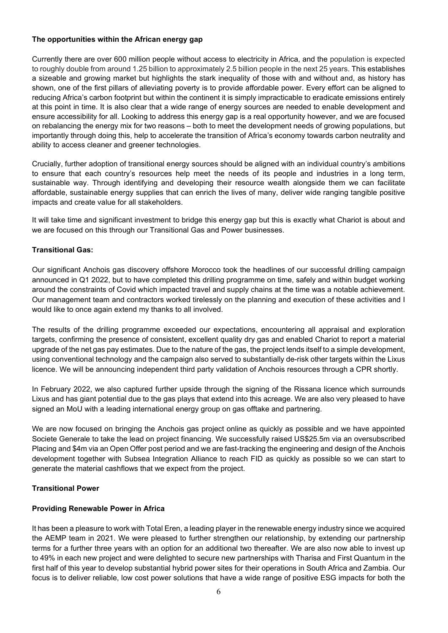# **The opportunities within the African energy gap**

Currently there are over 600 million people without access to electricity in Africa, and the population is expected to roughly double from around 1.25 billion to approximately 2.5 billion people in the next 25 years. This establishes a sizeable and growing market but highlights the stark inequality of those with and without and, as history has shown, one of the first pillars of alleviating poverty is to provide affordable power. Every effort can be aligned to reducing Africa's carbon footprint but within the continent it is simply impracticable to eradicate emissions entirely at this point in time. It is also clear that a wide range of energy sources are needed to enable development and ensure accessibility for all. Looking to address this energy gap is a real opportunity however, and we are focused on rebalancing the energy mix for two reasons – both to meet the development needs of growing populations, but importantly through doing this, help to accelerate the transition of Africa's economy towards carbon neutrality and ability to access cleaner and greener technologies.

Crucially, further adoption of transitional energy sources should be aligned with an individual country's ambitions to ensure that each country's resources help meet the needs of its people and industries in a long term, sustainable way. Through identifying and developing their resource wealth alongside them we can facilitate affordable, sustainable energy supplies that can enrich the lives of many, deliver wide ranging tangible positive impacts and create value for all stakeholders.

It will take time and significant investment to bridge this energy gap but this is exactly what Chariot is about and we are focused on this through our Transitional Gas and Power businesses.

# **Transitional Gas:**

Our significant Anchois gas discovery offshore Morocco took the headlines of our successful drilling campaign announced in Q1 2022, but to have completed this drilling programme on time, safely and within budget working around the constraints of Covid which impacted travel and supply chains at the time was a notable achievement. Our management team and contractors worked tirelessly on the planning and execution of these activities and I would like to once again extend my thanks to all involved.

The results of the drilling programme exceeded our expectations, encountering all appraisal and exploration targets, confirming the presence of consistent, excellent quality dry gas and enabled Chariot to report a material upgrade of the net gas pay estimates. Due to the nature of the gas, the project lends itself to a simple development, using conventional technology and the campaign also served to substantially de-risk other targets within the Lixus licence. We will be announcing independent third party validation of Anchois resources through a CPR shortly.

In February 2022, we also captured further upside through the signing of the Rissana licence which surrounds Lixus and has giant potential due to the gas plays that extend into this acreage. We are also very pleased to have signed an MoU with a leading international energy group on gas offtake and partnering.

We are now focused on bringing the Anchois gas project online as quickly as possible and we have appointed Societe Generale to take the lead on project financing. We successfully raised US\$25.5m via an oversubscribed Placing and \$4m via an Open Offer post period and we are fast-tracking the engineering and design of the Anchois development together with Subsea Integration Alliance to reach FID as quickly as possible so we can start to generate the material cashflows that we expect from the project.

# **Transitional Power**

# **Providing Renewable Power in Africa**

It has been a pleasure to work with Total Eren, a leading player in the renewable energy industry since we acquired the AEMP team in 2021. We were pleased to further strengthen our relationship, by extending our partnership terms for a further three years with an option for an additional two thereafter. We are also now able to invest up to 49% in each new project and were delighted to secure new partnerships with Tharisa and First Quantum in the first half of this year to develop substantial hybrid power sites for their operations in South Africa and Zambia. Our focus is to deliver reliable, low cost power solutions that have a wide range of positive ESG impacts for both the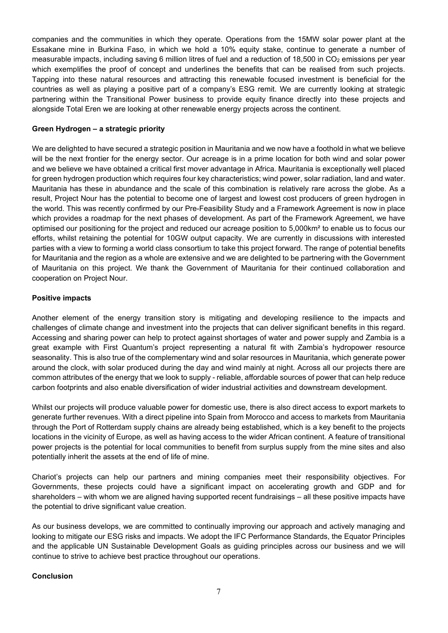companies and the communities in which they operate. Operations from the 15MW solar power plant at the Essakane mine in Burkina Faso, in which we hold a 10% equity stake, continue to generate a number of measurable impacts, including saving 6 million litres of fuel and a reduction of 18,500 in CO<sub>2</sub> emissions per year which exemplifies the proof of concept and underlines the benefits that can be realised from such projects. Tapping into these natural resources and attracting this renewable focused investment is beneficial for the countries as well as playing a positive part of a company's ESG remit. We are currently looking at strategic partnering within the Transitional Power business to provide equity finance directly into these projects and alongside Total Eren we are looking at other renewable energy projects across the continent.

# **Green Hydrogen – a strategic priority**

We are delighted to have secured a strategic position in Mauritania and we now have a foothold in what we believe will be the next frontier for the energy sector. Our acreage is in a prime location for both wind and solar power and we believe we have obtained a critical first mover advantage in Africa. Mauritania is exceptionally well placed for green hydrogen production which requires four key characteristics; wind power, solar radiation, land and water. Mauritania has these in abundance and the scale of this combination is relatively rare across the globe. As a result, Project Nour has the potential to become one of largest and lowest cost producers of green hydrogen in the world. This was recently confirmed by our Pre-Feasibility Study and a Framework Agreement is now in place which provides a roadmap for the next phases of development. As part of the Framework Agreement, we have optimised our positioning for the project and reduced our acreage position to 5,000km² to enable us to focus our efforts, whilst retaining the potential for 10GW output capacity. We are currently in discussions with interested parties with a view to forming a world class consortium to take this project forward. The range of potential benefits for Mauritania and the region as a whole are extensive and we are delighted to be partnering with the Government of Mauritania on this project. We thank the Government of Mauritania for their continued collaboration and cooperation on Project Nour.

### **Positive impacts**

Another element of the energy transition story is mitigating and developing resilience to the impacts and challenges of climate change and investment into the projects that can deliver significant benefits in this regard. Accessing and sharing power can help to protect against shortages of water and power supply and Zambia is a great example with First Quantum's project representing a natural fit with Zambia's hydropower resource seasonality. This is also true of the complementary wind and solar resources in Mauritania, which generate power around the clock, with solar produced during the day and wind mainly at night. Across all our projects there are common attributes of the energy that we look to supply - reliable, affordable sources of power that can help reduce carbon footprints and also enable diversification of wider industrial activities and downstream development.

Whilst our projects will produce valuable power for domestic use, there is also direct access to export markets to generate further revenues. With a direct pipeline into Spain from Morocco and access to markets from Mauritania through the Port of Rotterdam supply chains are already being established, which is a key benefit to the projects locations in the vicinity of Europe, as well as having access to the wider African continent. A feature of transitional power projects is the potential for local communities to benefit from surplus supply from the mine sites and also potentially inherit the assets at the end of life of mine.

Chariot's projects can help our partners and mining companies meet their responsibility objectives. For Governments, these projects could have a significant impact on accelerating growth and GDP and for shareholders – with whom we are aligned having supported recent fundraisings – all these positive impacts have the potential to drive significant value creation.

As our business develops, we are committed to continually improving our approach and actively managing and looking to mitigate our ESG risks and impacts. We adopt the IFC Performance Standards, the Equator Principles and the applicable UN Sustainable Development Goals as guiding principles across our business and we will continue to strive to achieve best practice throughout our operations.

# **Conclusion**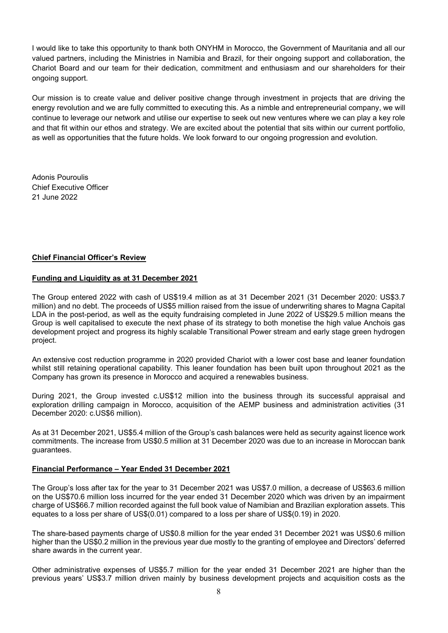I would like to take this opportunity to thank both ONYHM in Morocco, the Government of Mauritania and all our valued partners, including the Ministries in Namibia and Brazil, for their ongoing support and collaboration, the Chariot Board and our team for their dedication, commitment and enthusiasm and our shareholders for their ongoing support.

Our mission is to create value and deliver positive change through investment in projects that are driving the energy revolution and we are fully committed to executing this. As a nimble and entrepreneurial company, we will continue to leverage our network and utilise our expertise to seek out new ventures where we can play a key role and that fit within our ethos and strategy. We are excited about the potential that sits within our current portfolio, as well as opportunities that the future holds. We look forward to our ongoing progression and evolution.

Adonis Pouroulis Chief Executive Officer 21 June 2022

### **Chief Financial Officer's Review**

### **Funding and Liquidity as at 31 December 2021**

The Group entered 2022 with cash of US\$19.4 million as at 31 December 2021 (31 December 2020: US\$3.7 million) and no debt. The proceeds of US\$5 million raised from the issue of underwriting shares to Magna Capital LDA in the post-period, as well as the equity fundraising completed in June 2022 of US\$29.5 million means the Group is well capitalised to execute the next phase of its strategy to both monetise the high value Anchois gas development project and progress its highly scalable Transitional Power stream and early stage green hydrogen project.

An extensive cost reduction programme in 2020 provided Chariot with a lower cost base and leaner foundation whilst still retaining operational capability. This leaner foundation has been built upon throughout 2021 as the Company has grown its presence in Morocco and acquired a renewables business.

During 2021, the Group invested c.US\$12 million into the business through its successful appraisal and exploration drilling campaign in Morocco, acquisition of the AEMP business and administration activities (31 December 2020: c.US\$6 million).

As at 31 December 2021, US\$5.4 million of the Group's cash balances were held as security against licence work commitments. The increase from US\$0.5 million at 31 December 2020 was due to an increase in Moroccan bank guarantees.

#### **Financial Performance – Year Ended 31 December 2021**

The Group's loss after tax for the year to 31 December 2021 was US\$7.0 million, a decrease of US\$63.6 million on the US\$70.6 million loss incurred for the year ended 31 December 2020 which was driven by an impairment charge of US\$66.7 million recorded against the full book value of Namibian and Brazilian exploration assets. This equates to a loss per share of US\$(0.01) compared to a loss per share of US\$(0.19) in 2020.

The share-based payments charge of US\$0.8 million for the year ended 31 December 2021 was US\$0.6 million higher than the US\$0.2 million in the previous year due mostly to the granting of employee and Directors' deferred share awards in the current year.

Other administrative expenses of US\$5.7 million for the year ended 31 December 2021 are higher than the previous years' US\$3.7 million driven mainly by business development projects and acquisition costs as the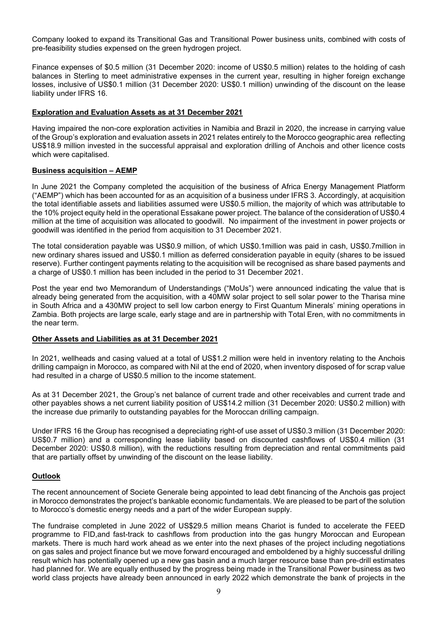Company looked to expand its Transitional Gas and Transitional Power business units, combined with costs of pre-feasibility studies expensed on the green hydrogen project.

Finance expenses of \$0.5 million (31 December 2020: income of US\$0.5 million) relates to the holding of cash balances in Sterling to meet administrative expenses in the current year, resulting in higher foreign exchange losses, inclusive of US\$0.1 million (31 December 2020: US\$0.1 million) unwinding of the discount on the lease liability under IFRS 16.

### **Exploration and Evaluation Assets as at 31 December 2021**

Having impaired the non-core exploration activities in Namibia and Brazil in 2020, the increase in carrying value of the Group's exploration and evaluation assets in 2021 relates entirely to the Morocco geographic area reflecting US\$18.9 million invested in the successful appraisal and exploration drilling of Anchois and other licence costs which were capitalised.

### **Business acquisition – AEMP**

In June 2021 the Company completed the acquisition of the business of Africa Energy Management Platform ("AEMP") which has been accounted for as an acquisition of a business under IFRS 3. Accordingly, at acquisition the total identifiable assets and liabilities assumed were US\$0.5 million, the majority of which was attributable to the 10% project equity held in the operational Essakane power project. The balance of the consideration of US\$0.4 million at the time of acquisition was allocated to goodwill. No impairment of the investment in power projects or goodwill was identified in the period from acquisition to 31 December 2021.

The total consideration payable was US\$0.9 million, of which US\$0.1million was paid in cash, US\$0.7million in new ordinary shares issued and US\$0.1 million as deferred consideration payable in equity (shares to be issued reserve). Further contingent payments relating to the acquisition will be recognised as share based payments and a charge of US\$0.1 million has been included in the period to 31 December 2021.

Post the year end two Memorandum of Understandings ("MoUs") were announced indicating the value that is already being generated from the acquisition, with a 40MW solar project to sell solar power to the Tharisa mine in South Africa and a 430MW project to sell low carbon energy to First Quantum Minerals' mining operations in Zambia. Both projects are large scale, early stage and are in partnership with Total Eren, with no commitments in the near term.

### **Other Assets and Liabilities as at 31 December 2021**

In 2021, wellheads and casing valued at a total of US\$1.2 million were held in inventory relating to the Anchois drilling campaign in Morocco, as compared with Nil at the end of 2020, when inventory disposed of for scrap value had resulted in a charge of US\$0.5 million to the income statement.

As at 31 December 2021, the Group's net balance of current trade and other receivables and current trade and other payables shows a net current liability position of US\$14.2 million (31 December 2020: US\$0.2 million) with the increase due primarily to outstanding payables for the Moroccan drilling campaign.

Under IFRS 16 the Group has recognised a depreciating right-of use asset of US\$0.3 million (31 December 2020: US\$0.7 million) and a corresponding lease liability based on discounted cashflows of US\$0.4 million (31 December 2020: US\$0.8 million), with the reductions resulting from depreciation and rental commitments paid that are partially offset by unwinding of the discount on the lease liability.

#### **Outlook**

The recent announcement of Societe Generale being appointed to lead debt financing of the Anchois gas project in Morocco demonstrates the project's bankable economic fundamentals. We are pleased to be part of the solution to Morocco's domestic energy needs and a part of the wider European supply.

The fundraise completed in June 2022 of US\$29.5 million means Chariot is funded to accelerate the FEED programme to FID,and fast-track to cashflows from production into the gas hungry Moroccan and European markets. There is much hard work ahead as we enter into the next phases of the project including negotiations on gas sales and project finance but we move forward encouraged and emboldened by a highly successful drilling result which has potentially opened up a new gas basin and a much larger resource base than pre-drill estimates had planned for. We are equally enthused by the progress being made in the Transitional Power business as two world class projects have already been announced in early 2022 which demonstrate the bank of projects in the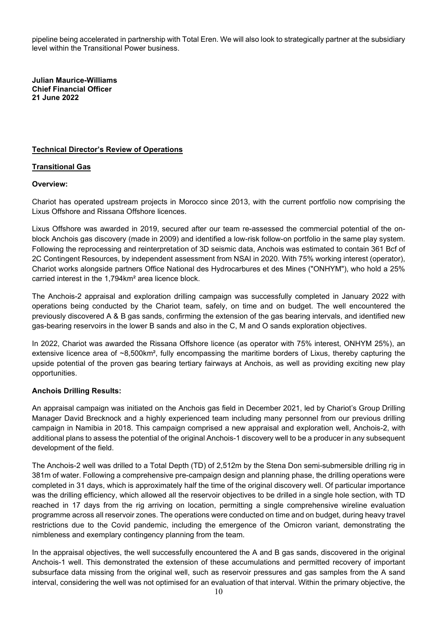pipeline being accelerated in partnership with Total Eren. We will also look to strategically partner at the subsidiary level within the Transitional Power business.

**Julian Maurice-Williams Chief Financial Officer 21 June 2022** 

# **Technical Director's Review of Operations**

# **Transitional Gas**

### **Overview:**

Chariot has operated upstream projects in Morocco since 2013, with the current portfolio now comprising the Lixus Offshore and Rissana Offshore licences.

Lixus Offshore was awarded in 2019, secured after our team re-assessed the commercial potential of the onblock Anchois gas discovery (made in 2009) and identified a low-risk follow-on portfolio in the same play system. Following the reprocessing and reinterpretation of 3D seismic data, Anchois was estimated to contain 361 Bcf of 2C Contingent Resources, by independent assessment from NSAI in 2020. With 75% working interest (operator), Chariot works alongside partners Office National des Hydrocarbures et des Mines ("ONHYM"), who hold a 25% carried interest in the 1,794km² area licence block.

The Anchois-2 appraisal and exploration drilling campaign was successfully completed in January 2022 with operations being conducted by the Chariot team, safely, on time and on budget. The well encountered the previously discovered A & B gas sands, confirming the extension of the gas bearing intervals, and identified new gas-bearing reservoirs in the lower B sands and also in the C, M and O sands exploration objectives.

In 2022, Chariot was awarded the Rissana Offshore licence (as operator with 75% interest, ONHYM 25%), an extensive licence area of ~8,500km², fully encompassing the maritime borders of Lixus, thereby capturing the upside potential of the proven gas bearing tertiary fairways at Anchois, as well as providing exciting new play opportunities.

# **Anchois Drilling Results:**

An appraisal campaign was initiated on the Anchois gas field in December 2021, led by Chariot's Group Drilling Manager David Brecknock and a highly experienced team including many personnel from our previous drilling campaign in Namibia in 2018. This campaign comprised a new appraisal and exploration well, Anchois-2, with additional plans to assess the potential of the original Anchois-1 discovery well to be a producer in any subsequent development of the field.

The Anchois-2 well was drilled to a Total Depth (TD) of 2,512m by the Stena Don semi-submersible drilling rig in 381m of water. Following a comprehensive pre-campaign design and planning phase, the drilling operations were completed in 31 days, which is approximately half the time of the original discovery well. Of particular importance was the drilling efficiency, which allowed all the reservoir objectives to be drilled in a single hole section, with TD reached in 17 days from the rig arriving on location, permitting a single comprehensive wireline evaluation programme across all reservoir zones. The operations were conducted on time and on budget, during heavy travel restrictions due to the Covid pandemic, including the emergence of the Omicron variant, demonstrating the nimbleness and exemplary contingency planning from the team.

In the appraisal objectives, the well successfully encountered the A and B gas sands, discovered in the original Anchois-1 well. This demonstrated the extension of these accumulations and permitted recovery of important subsurface data missing from the original well, such as reservoir pressures and gas samples from the A sand interval, considering the well was not optimised for an evaluation of that interval. Within the primary objective, the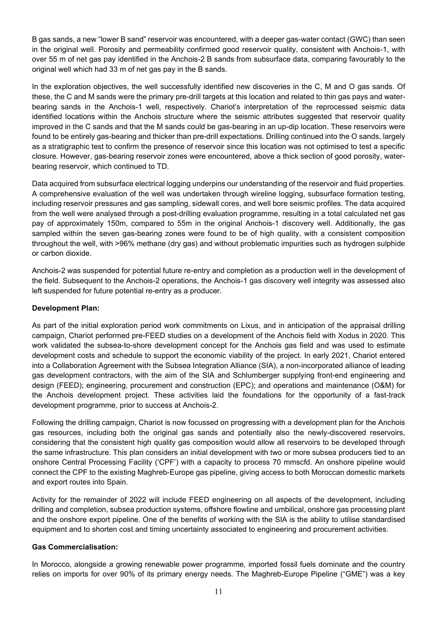B gas sands, a new "lower B sand" reservoir was encountered, with a deeper gas-water contact (GWC) than seen in the original well. Porosity and permeability confirmed good reservoir quality, consistent with Anchois-1, with over 55 m of net gas pay identified in the Anchois-2 B sands from subsurface data, comparing favourably to the original well which had 33 m of net gas pay in the B sands.

In the exploration objectives, the well successfully identified new discoveries in the C, M and O gas sands. Of these, the C and M sands were the primary pre-drill targets at this location and related to thin gas pays and waterbearing sands in the Anchois-1 well, respectively. Chariot's interpretation of the reprocessed seismic data identified locations within the Anchois structure where the seismic attributes suggested that reservoir quality improved in the C sands and that the M sands could be gas-bearing in an up-dip location. These reservoirs were found to be entirely gas-bearing and thicker than pre-drill expectations. Drilling continued into the O sands, largely as a stratigraphic test to confirm the presence of reservoir since this location was not optimised to test a specific closure. However, gas-bearing reservoir zones were encountered, above a thick section of good porosity, waterbearing reservoir, which continued to TD.

Data acquired from subsurface electrical logging underpins our understanding of the reservoir and fluid properties. A comprehensive evaluation of the well was undertaken through wireline logging, subsurface formation testing, including reservoir pressures and gas sampling, sidewall cores, and well bore seismic profiles. The data acquired from the well were analysed through a post-drilling evaluation programme, resulting in a total calculated net gas pay of approximately 150m, compared to 55m in the original Anchois-1 discovery well. Additionally, the gas sampled within the seven gas-bearing zones were found to be of high quality, with a consistent composition throughout the well, with >96% methane (dry gas) and without problematic impurities such as hydrogen sulphide or carbon dioxide.

Anchois-2 was suspended for potential future re-entry and completion as a production well in the development of the field. Subsequent to the Anchois-2 operations, the Anchois-1 gas discovery well integrity was assessed also left suspended for future potential re-entry as a producer.

# **Development Plan:**

As part of the initial exploration period work commitments on Lixus, and in anticipation of the appraisal drilling campaign, Chariot performed pre-FEED studies on a development of the Anchois field with Xodus in 2020. This work validated the subsea-to-shore development concept for the Anchois gas field and was used to estimate development costs and schedule to support the economic viability of the project. In early 2021, Chariot entered into a Collaboration Agreement with the Subsea Integration Alliance (SIA), a non-incorporated alliance of leading gas development contractors, with the aim of the SIA and Schlumberger supplying front-end engineering and design (FEED); engineering, procurement and construction (EPC); and operations and maintenance (O&M) for the Anchois development project. These activities laid the foundations for the opportunity of a fast-track development programme, prior to success at Anchois-2.

Following the drilling campaign, Chariot is now focussed on progressing with a development plan for the Anchois gas resources, including both the original gas sands and potentially also the newly-discovered reservoirs, considering that the consistent high quality gas composition would allow all reservoirs to be developed through the same infrastructure. This plan considers an initial development with two or more subsea producers tied to an onshore Central Processing Facility ('CPF') with a capacity to process 70 mmscfd. An onshore pipeline would connect the CPF to the existing Maghreb-Europe gas pipeline, giving access to both Moroccan domestic markets and export routes into Spain.

Activity for the remainder of 2022 will include FEED engineering on all aspects of the development, including drilling and completion, subsea production systems, offshore flowline and umbilical, onshore gas processing plant and the onshore export pipeline. One of the benefits of working with the SIA is the ability to utilise standardised equipment and to shorten cost and timing uncertainty associated to engineering and procurement activities.

# **Gas Commercialisation:**

In Morocco, alongside a growing renewable power programme, imported fossil fuels dominate and the country relies on imports for over 90% of its primary energy needs. The Maghreb-Europe Pipeline ("GME") was a key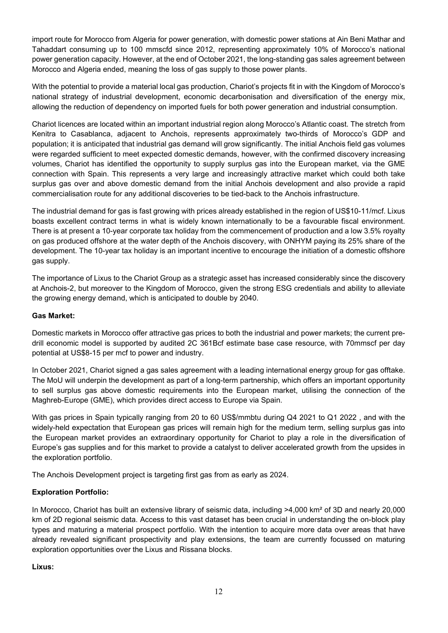import route for Morocco from Algeria for power generation, with domestic power stations at Ain Beni Mathar and Tahaddart consuming up to 100 mmscfd since 2012, representing approximately 10% of Morocco's national power generation capacity. However, at the end of October 2021, the long-standing gas sales agreement between Morocco and Algeria ended, meaning the loss of gas supply to those power plants.

With the potential to provide a material local gas production, Chariot's projects fit in with the Kingdom of Morocco's national strategy of industrial development, economic decarbonisation and diversification of the energy mix, allowing the reduction of dependency on imported fuels for both power generation and industrial consumption.

Chariot licences are located within an important industrial region along Morocco's Atlantic coast. The stretch from Kenitra to Casablanca, adjacent to Anchois, represents approximately two-thirds of Morocco's GDP and population; it is anticipated that industrial gas demand will grow significantly. The initial Anchois field gas volumes were regarded sufficient to meet expected domestic demands, however, with the confirmed discovery increasing volumes, Chariot has identified the opportunity to supply surplus gas into the European market, via the GME connection with Spain. This represents a very large and increasingly attractive market which could both take surplus gas over and above domestic demand from the initial Anchois development and also provide a rapid commercialisation route for any additional discoveries to be tied-back to the Anchois infrastructure.

The industrial demand for gas is fast growing with prices already established in the region of US\$10-11/mcf. Lixus boasts excellent contract terms in what is widely known internationally to be a favourable fiscal environment. There is at present a 10-year corporate tax holiday from the commencement of production and a low 3.5% royalty on gas produced offshore at the water depth of the Anchois discovery, with ONHYM paying its 25% share of the development. The 10-year tax holiday is an important incentive to encourage the initiation of a domestic offshore gas supply.

The importance of Lixus to the Chariot Group as a strategic asset has increased considerably since the discovery at Anchois-2, but moreover to the Kingdom of Morocco, given the strong ESG credentials and ability to alleviate the growing energy demand, which is anticipated to double by 2040.

# **Gas Market:**

Domestic markets in Morocco offer attractive gas prices to both the industrial and power markets; the current predrill economic model is supported by audited 2C 361Bcf estimate base case resource, with 70mmscf per day potential at US\$8-15 per mcf to power and industry.

In October 2021, Chariot signed a gas sales agreement with a leading international energy group for gas offtake. The MoU will underpin the development as part of a long-term partnership, which offers an important opportunity to sell surplus gas above domestic requirements into the European market, utilising the connection of the Maghreb-Europe (GME), which provides direct access to Europe via Spain.

With gas prices in Spain typically ranging from 20 to 60 US\$/mmbtu during Q4 2021 to Q1 2022, and with the widely-held expectation that European gas prices will remain high for the medium term, selling surplus gas into the European market provides an extraordinary opportunity for Chariot to play a role in the diversification of Europe's gas supplies and for this market to provide a catalyst to deliver accelerated growth from the upsides in the exploration portfolio.

The Anchois Development project is targeting first gas from as early as 2024.

# **Exploration Portfolio:**

In Morocco, Chariot has built an extensive library of seismic data, including >4,000 km<sup>2</sup> of 3D and nearly 20,000 km of 2D regional seismic data. Access to this vast dataset has been crucial in understanding the on-block play types and maturing a material prospect portfolio. With the intention to acquire more data over areas that have already revealed significant prospectivity and play extensions, the team are currently focussed on maturing exploration opportunities over the Lixus and Rissana blocks.

# **Lixus:**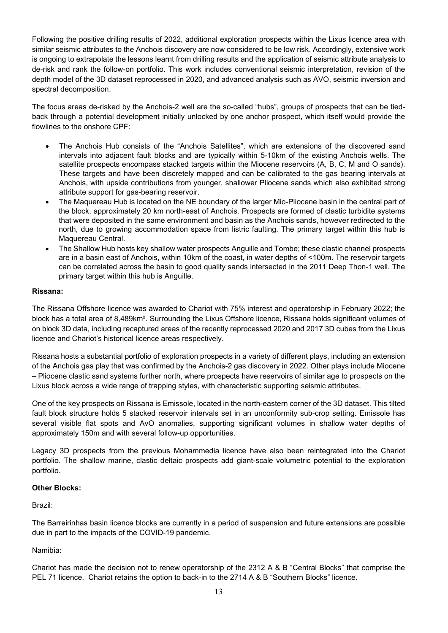Following the positive drilling results of 2022, additional exploration prospects within the Lixus licence area with similar seismic attributes to the Anchois discovery are now considered to be low risk. Accordingly, extensive work is ongoing to extrapolate the lessons learnt from drilling results and the application of seismic attribute analysis to de-risk and rank the follow-on portfolio. This work includes conventional seismic interpretation, revision of the depth model of the 3D dataset reprocessed in 2020, and advanced analysis such as AVO, seismic inversion and spectral decomposition.

The focus areas de-risked by the Anchois-2 well are the so-called "hubs", groups of prospects that can be tiedback through a potential development initially unlocked by one anchor prospect, which itself would provide the flowlines to the onshore CPF:

- The Anchois Hub consists of the "Anchois Satellites", which are extensions of the discovered sand intervals into adjacent fault blocks and are typically within 5-10km of the existing Anchois wells. The satellite prospects encompass stacked targets within the Miocene reservoirs (A, B, C, M and O sands). These targets and have been discretely mapped and can be calibrated to the gas bearing intervals at Anchois, with upside contributions from younger, shallower Pliocene sands which also exhibited strong attribute support for gas-bearing reservoir.
- The Maquereau Hub is located on the NE boundary of the larger Mio-Pliocene basin in the central part of the block, approximately 20 km north-east of Anchois. Prospects are formed of clastic turbidite systems that were deposited in the same environment and basin as the Anchois sands, however redirected to the north, due to growing accommodation space from listric faulting. The primary target within this hub is Maquereau Central.
- The Shallow Hub hosts key shallow water prospects Anguille and Tombe; these clastic channel prospects are in a basin east of Anchois, within 10km of the coast, in water depths of <100m. The reservoir targets can be correlated across the basin to good quality sands intersected in the 2011 Deep Thon-1 well. The primary target within this hub is Anguille.

# **Rissana:**

The Rissana Offshore licence was awarded to Chariot with 75% interest and operatorship in February 2022; the block has a total area of 8,489km². Surrounding the Lixus Offshore licence, Rissana holds significant volumes of on block 3D data, including recaptured areas of the recently reprocessed 2020 and 2017 3D cubes from the Lixus licence and Chariot's historical licence areas respectively.

Rissana hosts a substantial portfolio of exploration prospects in a variety of different plays, including an extension of the Anchois gas play that was confirmed by the Anchois-2 gas discovery in 2022. Other plays include Miocene – Pliocene clastic sand systems further north, where prospects have reservoirs of similar age to prospects on the Lixus block across a wide range of trapping styles, with characteristic supporting seismic attributes.

One of the key prospects on Rissana is Emissole, located in the north-eastern corner of the 3D dataset. This tilted fault block structure holds 5 stacked reservoir intervals set in an unconformity sub-crop setting. Emissole has several visible flat spots and AvO anomalies, supporting significant volumes in shallow water depths of approximately 150m and with several follow-up opportunities.

Legacy 3D prospects from the previous Mohammedia licence have also been reintegrated into the Chariot portfolio. The shallow marine, clastic deltaic prospects add giant-scale volumetric potential to the exploration portfolio.

# **Other Blocks:**

Brazil:

The Barreirinhas basin licence blocks are currently in a period of suspension and future extensions are possible due in part to the impacts of the COVID-19 pandemic.

# Namibia:

Chariot has made the decision not to renew operatorship of the 2312 A & B "Central Blocks" that comprise the PEL 71 licence. Chariot retains the option to back-in to the 2714 A & B "Southern Blocks" licence.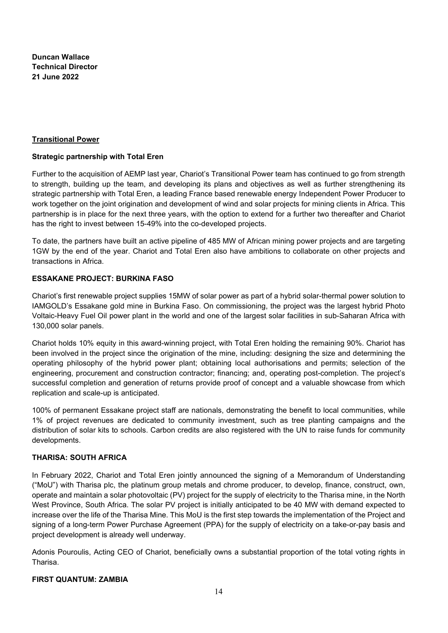**Duncan Wallace Technical Director 21 June 2022**

### **Transitional Power**

### **Strategic partnership with Total Eren**

Further to the acquisition of AEMP last year, Chariot's Transitional Power team has continued to go from strength to strength, building up the team, and developing its plans and objectives as well as further strengthening its strategic partnership with Total Eren, a leading France based renewable energy Independent Power Producer to work together on the joint origination and development of wind and solar projects for mining clients in Africa. This partnership is in place for the next three years, with the option to extend for a further two thereafter and Chariot has the right to invest between 15-49% into the co-developed projects.

To date, the partners have built an active pipeline of 485 MW of African mining power projects and are targeting 1GW by the end of the year. Chariot and Total Eren also have ambitions to collaborate on other projects and transactions in Africa.

# **ESSAKANE PROJECT: BURKINA FASO**

Chariot's first renewable project supplies 15MW of solar power as part of a hybrid solar-thermal power solution to IAMGOLD's Essakane gold mine in Burkina Faso. On commissioning, the project was the largest hybrid Photo Voltaic-Heavy Fuel Oil power plant in the world and one of the largest solar facilities in sub-Saharan Africa with 130,000 solar panels.

Chariot holds 10% equity in this award-winning project, with Total Eren holding the remaining 90%. Chariot has been involved in the project since the origination of the mine, including: designing the size and determining the operating philosophy of the hybrid power plant; obtaining local authorisations and permits; selection of the engineering, procurement and construction contractor; financing; and, operating post-completion. The project's successful completion and generation of returns provide proof of concept and a valuable showcase from which replication and scale-up is anticipated.

100% of permanent Essakane project staff are nationals, demonstrating the benefit to local communities, while 1% of project revenues are dedicated to community investment, such as tree planting campaigns and the distribution of solar kits to schools. Carbon credits are also registered with the UN to raise funds for community developments.

# **THARISA: SOUTH AFRICA**

In February 2022, Chariot and Total Eren jointly announced the signing of a Memorandum of Understanding ("MoU") with Tharisa plc, the platinum group metals and chrome producer, to develop, finance, construct, own, operate and maintain a solar photovoltaic (PV) project for the supply of electricity to the Tharisa mine, in the North West Province, South Africa. The solar PV project is initially anticipated to be 40 MW with demand expected to increase over the life of the Tharisa Mine. This MoU is the first step towards the implementation of the Project and signing of a long-term Power Purchase Agreement (PPA) for the supply of electricity on a take-or-pay basis and project development is already well underway.

Adonis Pouroulis, Acting CEO of Chariot, beneficially owns a substantial proportion of the total voting rights in Tharisa.

# **FIRST QUANTUM: ZAMBIA**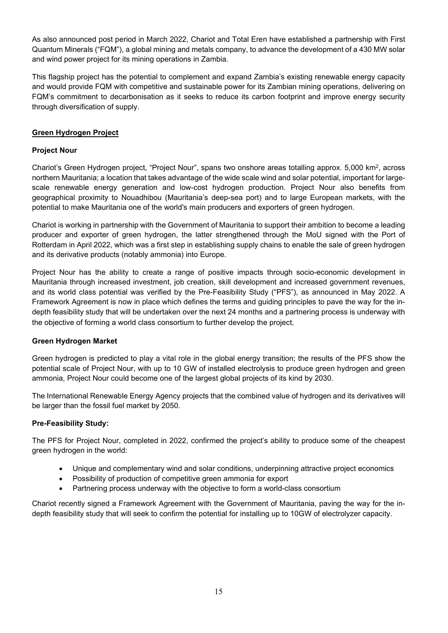As also announced post period in March 2022, Chariot and Total Eren have established a partnership with First Quantum Minerals ("FQM"), a global mining and metals company, to advance the development of a 430 MW solar and wind power project for its mining operations in Zambia.

This flagship project has the potential to complement and expand Zambia's existing renewable energy capacity and would provide FQM with competitive and sustainable power for its Zambian mining operations, delivering on FQM's commitment to decarbonisation as it seeks to reduce its carbon footprint and improve energy security through diversification of supply.

# **Green Hydrogen Project**

# **Project Nour**

Chariot's Green Hydrogen project, "Project Nour", spans two onshore areas totalling approx. 5,000 km<sup>2</sup>, across northern Mauritania; a location that takes advantage of the wide scale wind and solar potential, important for largescale renewable energy generation and low-cost hydrogen production. Project Nour also benefits from geographical proximity to Nouadhibou (Mauritania's deep-sea port) and to large European markets, with the potential to make Mauritania one of the world's main producers and exporters of green hydrogen.

Chariot is working in partnership with the Government of Mauritania to support their ambition to become a leading producer and exporter of green hydrogen, the latter strengthened through the MoU signed with the Port of Rotterdam in April 2022, which was a first step in establishing supply chains to enable the sale of green hydrogen and its derivative products (notably ammonia) into Europe.

Project Nour has the ability to create a range of positive impacts through socio-economic development in Mauritania through increased investment, job creation, skill development and increased government revenues, and its world class potential was verified by the Pre-Feasibility Study ("PFS"), as announced in May 2022. A Framework Agreement is now in place which defines the terms and guiding principles to pave the way for the indepth feasibility study that will be undertaken over the next 24 months and a partnering process is underway with the objective of forming a world class consortium to further develop the project.

# **Green Hydrogen Market**

Green hydrogen is predicted to play a vital role in the global energy transition; the results of the PFS show the potential scale of Project Nour, with up to 10 GW of installed electrolysis to produce green hydrogen and green ammonia, Project Nour could become one of the largest global projects of its kind by 2030.

The International Renewable Energy Agency projects that the combined value of hydrogen and its derivatives will be larger than the fossil fuel market by 2050.

# **Pre-Feasibility Study:**

The PFS for Project Nour, completed in 2022, confirmed the project's ability to produce some of the cheapest green hydrogen in the world:

- Unique and complementary wind and solar conditions, underpinning attractive project economics
- Possibility of production of competitive green ammonia for export
- Partnering process underway with the objective to form a world-class consortium

Chariot recently signed a Framework Agreement with the Government of Mauritania, paving the way for the indepth feasibility study that will seek to confirm the potential for installing up to 10GW of electrolyzer capacity.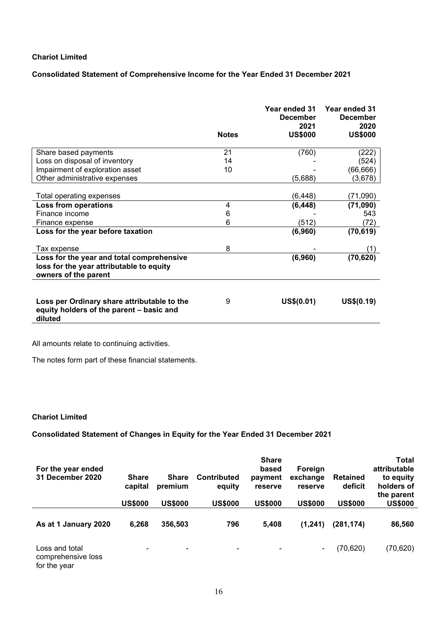### **Consolidated Statement of Comprehensive Income for the Year Ended 31 December 2021**

|                                                                                                               | <b>Notes</b> | Year ended 31<br><b>December</b><br>2021<br><b>US\$000</b> | Year ended 31<br><b>December</b><br>2020<br><b>US\$000</b> |
|---------------------------------------------------------------------------------------------------------------|--------------|------------------------------------------------------------|------------------------------------------------------------|
|                                                                                                               |              |                                                            |                                                            |
| Share based payments                                                                                          | 21           | (760)                                                      | (222)                                                      |
| Loss on disposal of inventory                                                                                 | 14           |                                                            | (524)                                                      |
| Impairment of exploration asset                                                                               | 10           |                                                            | (66, 666)                                                  |
| Other administrative expenses                                                                                 |              | (5,688)                                                    | (3,678)                                                    |
|                                                                                                               |              |                                                            |                                                            |
| Total operating expenses                                                                                      |              | (6, 448)                                                   | (71,090)                                                   |
| Loss from operations                                                                                          | 4            | (6, 448)                                                   | (71,090)                                                   |
| Finance income                                                                                                | 6            |                                                            | 543                                                        |
| Finance expense                                                                                               | 6            | (512)                                                      | (72)                                                       |
| Loss for the year before taxation                                                                             |              | (6,960)                                                    | (70, 619)                                                  |
| Tax expense                                                                                                   | 8            |                                                            | (1)                                                        |
| Loss for the year and total comprehensive<br>loss for the year attributable to equity<br>owners of the parent |              | (6,960)                                                    | (70, 620)                                                  |
| Loss per Ordinary share attributable to the<br>equity holders of the parent - basic and<br>diluted            | 9            | US\$(0.01)                                                 | US\$(0.19)                                                 |

All amounts relate to continuing activities.

The notes form part of these financial statements.

# **Chariot Limited**

# **Consolidated Statement of Changes in Equity for the Year Ended 31 December 2021**

| For the year ended<br>31 December 2020               | <b>Share</b><br>capital<br><b>US\$000</b> | <b>Share</b><br>premium<br><b>US\$000</b> | <b>Contributed</b><br>equity<br><b>US\$000</b> | <b>Share</b><br>based<br>payment<br>reserve<br><b>US\$000</b> | Foreign<br>exchange<br>reserve<br><b>US\$000</b> | <b>Retained</b><br>deficit<br><b>US\$000</b> | <b>Total</b><br>attributable<br>to equity<br>holders of<br>the parent<br><b>US\$000</b> |
|------------------------------------------------------|-------------------------------------------|-------------------------------------------|------------------------------------------------|---------------------------------------------------------------|--------------------------------------------------|----------------------------------------------|-----------------------------------------------------------------------------------------|
| As at 1 January 2020                                 | 6,268                                     | 356,503                                   | 796                                            | 5,408                                                         | (1,241)                                          | (281, 174)                                   | 86,560                                                                                  |
| Loss and total<br>comprehensive loss<br>for the year | ۰                                         | ۰                                         | ۰                                              | $\blacksquare$                                                | $\blacksquare$                                   | (70, 620)                                    | (70, 620)                                                                               |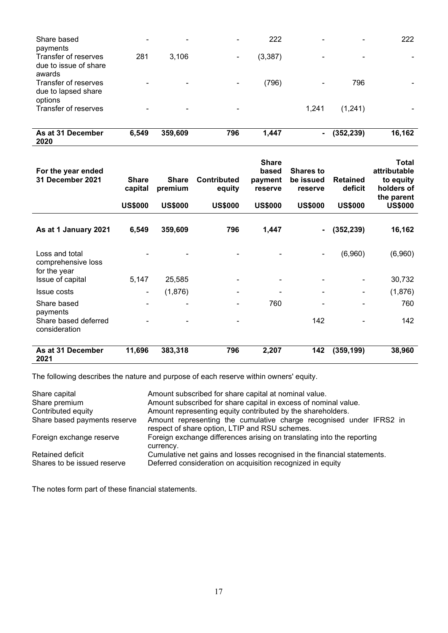| due to lapsed share<br>options<br>Transfer of reserves |       | ۰       |     |       | 1,241          | (1,241)    |        |
|--------------------------------------------------------|-------|---------|-----|-------|----------------|------------|--------|
| As at 31 December<br>2020                              | 6,549 | 359,609 | 796 | 1,447 | $\blacksquare$ | (352, 239) | 16,162 |

| For the year ended<br>31 December 2021               | <b>Share</b><br>capital<br><b>US\$000</b> | <b>Share</b><br>premium<br><b>US\$000</b> | <b>Contributed</b><br>equity<br><b>US\$000</b> | <b>Share</b><br>based<br>payment<br>reserve<br><b>US\$000</b> | <b>Shares to</b><br>be issued<br>reserve<br><b>US\$000</b> | <b>Retained</b><br>deficit<br><b>US\$000</b> | Total<br>attributable<br>to equity<br>holders of<br>the parent<br><b>US\$000</b> |
|------------------------------------------------------|-------------------------------------------|-------------------------------------------|------------------------------------------------|---------------------------------------------------------------|------------------------------------------------------------|----------------------------------------------|----------------------------------------------------------------------------------|
| As at 1 January 2021                                 | 6,549                                     | 359,609                                   | 796                                            | 1,447                                                         | $\blacksquare$                                             | (352, 239)                                   | 16,162                                                                           |
| Loss and total<br>comprehensive loss<br>for the year |                                           |                                           |                                                |                                                               | $\overline{a}$                                             | (6,960)                                      | (6,960)                                                                          |
| Issue of capital                                     | 5,147                                     | 25,585                                    |                                                | ۰                                                             |                                                            |                                              | 30,732                                                                           |
| <b>Issue costs</b>                                   | ۰                                         | (1,876)                                   |                                                |                                                               | -                                                          | ۰                                            | (1,876)                                                                          |
| Share based<br>payments                              |                                           |                                           |                                                | 760                                                           |                                                            |                                              | 760                                                                              |
| Share based deferred<br>consideration                |                                           |                                           |                                                |                                                               | 142                                                        | ۰                                            | 142                                                                              |
| As at 31 December<br>2021                            | 11,696                                    | 383,318                                   | 796                                            | 2,207                                                         | 142                                                        | (359, 199)                                   | 38,960                                                                           |

The following describes the nature and purpose of each reserve within owners' equity.

| Share capital                | Amount subscribed for share capital at nominal value.                                                                 |
|------------------------------|-----------------------------------------------------------------------------------------------------------------------|
| Share premium                | Amount subscribed for share capital in excess of nominal value.                                                       |
| Contributed equity           | Amount representing equity contributed by the shareholders.                                                           |
| Share based payments reserve | Amount representing the cumulative charge recognised under IFRS2 in<br>respect of share option, LTIP and RSU schemes. |
| Foreign exchange reserve     | Foreign exchange differences arising on translating into the reporting<br>currency.                                   |
| Retained deficit             | Cumulative net gains and losses recognised in the financial statements.                                               |
| Shares to be issued reserve  | Deferred consideration on acquisition recognized in equity                                                            |

The notes form part of these financial statements.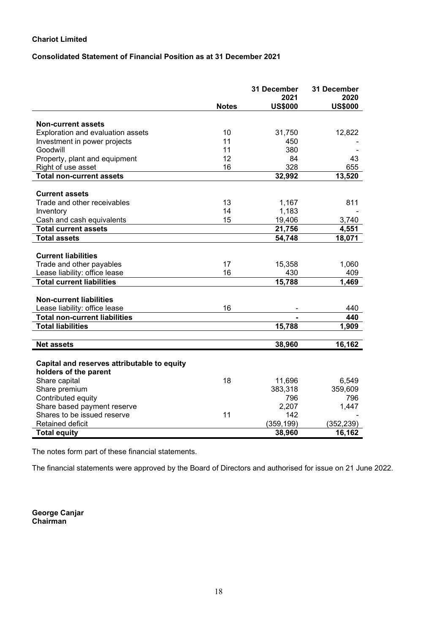# **Consolidated Statement of Financial Position as at 31 December 2021**

|                                             |              | 31 December            | 31 December            |
|---------------------------------------------|--------------|------------------------|------------------------|
|                                             | <b>Notes</b> | 2021<br><b>US\$000</b> | 2020<br><b>US\$000</b> |
|                                             |              |                        |                        |
| <b>Non-current assets</b>                   |              |                        |                        |
| Exploration and evaluation assets           | 10           | 31,750                 | 12,822                 |
| Investment in power projects                | 11           | 450                    |                        |
| Goodwill                                    | 11           | 380                    |                        |
| Property, plant and equipment               | 12           | 84                     | 43                     |
| Right of use asset                          | 16           | 328                    | 655                    |
| <b>Total non-current assets</b>             |              | 32,992                 | 13,520                 |
| <b>Current assets</b>                       |              |                        |                        |
| Trade and other receivables                 | 13           | 1,167                  | 811                    |
| Inventory                                   | 14           | 1,183                  |                        |
| Cash and cash equivalents                   | 15           | 19,406                 | 3,740                  |
| <b>Total current assets</b>                 |              | 21,756                 | 4,551                  |
| <b>Total assets</b>                         |              | 54,748                 | 18,071                 |
|                                             |              |                        |                        |
| <b>Current liabilities</b>                  |              |                        |                        |
| Trade and other payables                    | 17           | 15,358                 | 1,060                  |
| Lease liability: office lease               | 16           | 430                    | 409                    |
| <b>Total current liabilities</b>            |              | 15,788                 | 1,469                  |
|                                             |              |                        |                        |
| <b>Non-current liabilities</b>              |              |                        |                        |
| Lease liability: office lease               | 16           |                        | 440                    |
| <b>Total non-current liabilities</b>        |              |                        | 440                    |
| <b>Total liabilities</b>                    |              | 15,788                 | 1,909                  |
|                                             |              |                        |                        |
| <b>Net assets</b>                           |              | 38,960                 | 16,162                 |
|                                             |              |                        |                        |
| Capital and reserves attributable to equity |              |                        |                        |
| holders of the parent                       |              |                        |                        |
| Share capital                               | 18           | 11,696                 | 6,549                  |
| Share premium                               |              | 383,318                | 359,609                |
| Contributed equity                          |              | 796                    | 796                    |
| Share based payment reserve                 |              | 2,207                  | 1,447                  |
| Shares to be issued reserve                 | 11           | 142                    |                        |
| Retained deficit                            |              | (359, 199)             | (352,239)              |
| <b>Total equity</b>                         |              | 38,960                 | 16,162                 |

The notes form part of these financial statements.

The financial statements were approved by the Board of Directors and authorised for issue on 21 June 2022.

**George Canjar Chairman**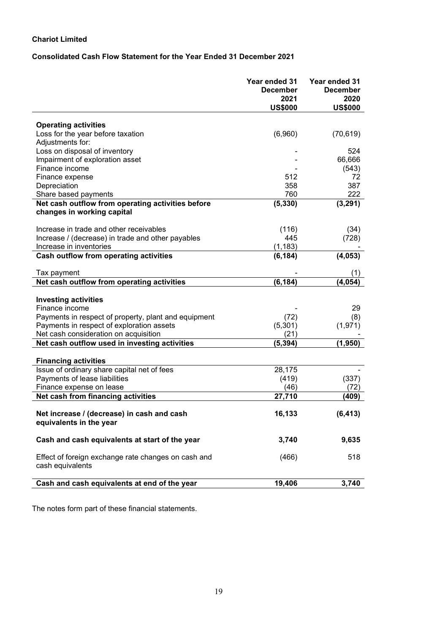# **Consolidated Cash Flow Statement for the Year Ended 31 December 2021**

|                                                                                                                                                    | Year ended 31<br><b>December</b><br>2021<br><b>US\$000</b> | Year ended 31<br><b>December</b><br>2020<br><b>US\$000</b> |
|----------------------------------------------------------------------------------------------------------------------------------------------------|------------------------------------------------------------|------------------------------------------------------------|
|                                                                                                                                                    |                                                            |                                                            |
| <b>Operating activities</b>                                                                                                                        |                                                            |                                                            |
| Loss for the year before taxation                                                                                                                  | (6,960)                                                    | (70, 619)                                                  |
| Adjustments for:                                                                                                                                   |                                                            |                                                            |
| Loss on disposal of inventory                                                                                                                      |                                                            | 524                                                        |
| Impairment of exploration asset                                                                                                                    |                                                            | 66,666                                                     |
| Finance income                                                                                                                                     |                                                            | (543)                                                      |
| Finance expense                                                                                                                                    | 512<br>358                                                 | 72<br>387                                                  |
| Depreciation                                                                                                                                       | 760                                                        | 222                                                        |
| Share based payments<br>Net cash outflow from operating activities before                                                                          |                                                            |                                                            |
| changes in working capital                                                                                                                         | (5, 330)                                                   | (3, 291)                                                   |
| Increase in trade and other receivables                                                                                                            | (116)                                                      | (34)                                                       |
| Increase / (decrease) in trade and other payables                                                                                                  | 445                                                        | (728)                                                      |
| Increase in inventories                                                                                                                            | (1, 183)                                                   |                                                            |
| Cash outflow from operating activities                                                                                                             | (6, 184)                                                   | (4,053)                                                    |
| Tax payment                                                                                                                                        |                                                            | (1)                                                        |
| Net cash outflow from operating activities                                                                                                         | (6, 184)                                                   | (4, 054)                                                   |
| <b>Investing activities</b><br>Finance income<br>Payments in respect of property, plant and equipment<br>Payments in respect of exploration assets | (72)<br>(5,301)                                            | 29<br>(8)<br>(1, 971)                                      |
| Net cash consideration on acquisition                                                                                                              | (21)                                                       |                                                            |
| Net cash outflow used in investing activities<br><b>Financing activities</b>                                                                       | (5, 394)                                                   | (1, 950)                                                   |
| Issue of ordinary share capital net of fees                                                                                                        | 28,175                                                     |                                                            |
| Payments of lease liabilities                                                                                                                      | (419)                                                      | (337)                                                      |
| Finance expense on lease                                                                                                                           | (46)                                                       | (72)                                                       |
| Net cash from financing activities                                                                                                                 | 27,710                                                     | (409                                                       |
| Net increase / (decrease) in cash and cash<br>equivalents in the year                                                                              | 16,133                                                     | (6, 413)                                                   |
| Cash and cash equivalents at start of the year                                                                                                     | 3,740                                                      | 9,635                                                      |
| Effect of foreign exchange rate changes on cash and<br>cash equivalents                                                                            | (466)                                                      | 518                                                        |
| Cash and cash equivalents at end of the year                                                                                                       | 19,406                                                     | 3,740                                                      |
|                                                                                                                                                    |                                                            |                                                            |

The notes form part of these financial statements.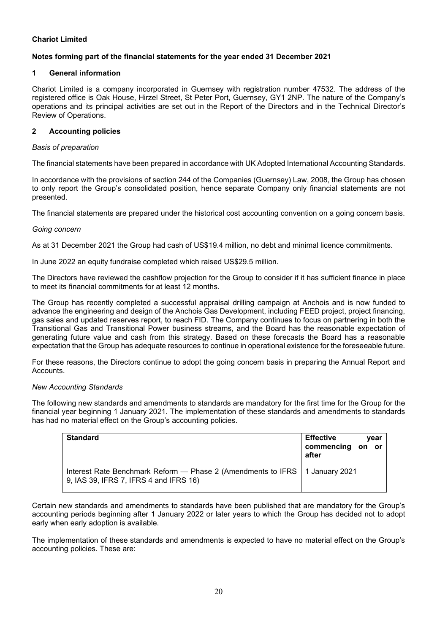# **Notes forming part of the financial statements for the year ended 31 December 2021**

# **1 General information**

Chariot Limited is a company incorporated in Guernsey with registration number 47532. The address of the registered office is Oak House, Hirzel Street, St Peter Port, Guernsey, GY1 2NP. The nature of the Company's operations and its principal activities are set out in the Report of the Directors and in the Technical Director's Review of Operations.

# **2 Accounting policies**

# *Basis of preparation*

The financial statements have been prepared in accordance with UK Adopted International Accounting Standards.

In accordance with the provisions of section 244 of the Companies (Guernsey) Law, 2008, the Group has chosen to only report the Group's consolidated position, hence separate Company only financial statements are not presented.

The financial statements are prepared under the historical cost accounting convention on a going concern basis.

# *Going concern*

As at 31 December 2021 the Group had cash of US\$19.4 million, no debt and minimal licence commitments.

In June 2022 an equity fundraise completed which raised US\$29.5 million.

The Directors have reviewed the cashflow projection for the Group to consider if it has sufficient finance in place to meet its financial commitments for at least 12 months.

The Group has recently completed a successful appraisal drilling campaign at Anchois and is now funded to advance the engineering and design of the Anchois Gas Development, including FEED project, project financing, gas sales and updated reserves report, to reach FID. The Company continues to focus on partnering in both the Transitional Gas and Transitional Power business streams, and the Board has the reasonable expectation of generating future value and cash from this strategy. Based on these forecasts the Board has a reasonable expectation that the Group has adequate resources to continue in operational existence for the foreseeable future.

For these reasons, the Directors continue to adopt the going concern basis in preparing the Annual Report and Accounts.

# *New Accounting Standards*

The following new standards and amendments to standards are mandatory for the first time for the Group for the financial year beginning 1 January 2021. The implementation of these standards and amendments to standards has had no material effect on the Group's accounting policies.

| <b>Standard</b>                                                                                                         | <b>Effective</b>          | vear |
|-------------------------------------------------------------------------------------------------------------------------|---------------------------|------|
|                                                                                                                         | commencing on or<br>after |      |
| Interest Rate Benchmark Reform — Phase 2 (Amendments to IFRS   1 January 2021<br>9, IAS 39, IFRS 7, IFRS 4 and IFRS 16) |                           |      |

Certain new standards and amendments to standards have been published that are mandatory for the Group's accounting periods beginning after 1 January 2022 or later years to which the Group has decided not to adopt early when early adoption is available.

The implementation of these standards and amendments is expected to have no material effect on the Group's accounting policies. These are: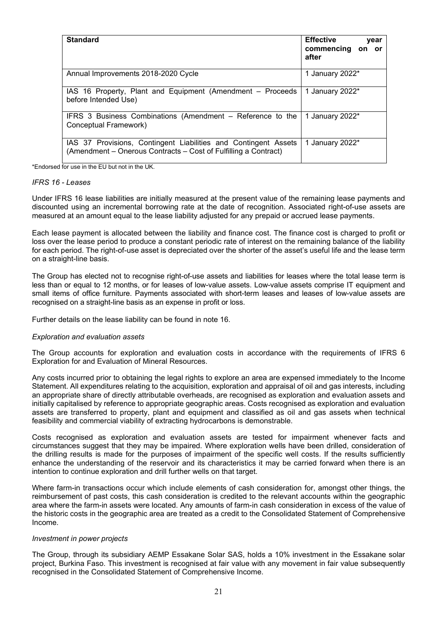| <b>Standard</b>                                                                                                                    | <b>Effective</b><br>year<br>commencing<br>on or<br>after |
|------------------------------------------------------------------------------------------------------------------------------------|----------------------------------------------------------|
| Annual Improvements 2018-2020 Cycle                                                                                                | 1 January 2022*                                          |
| IAS 16 Property, Plant and Equipment (Amendment - Proceeds<br>before Intended Use)                                                 | 1 January 2022*                                          |
| IFRS 3 Business Combinations (Amendment – Reference to the<br>Conceptual Framework)                                                | 1 January 2022*                                          |
| IAS 37 Provisions, Contingent Liabilities and Contingent Assets<br>(Amendment – Onerous Contracts – Cost of Fulfilling a Contract) | 1 January 2022*                                          |

\*Endorsed for use in the EU but not in the UK.

#### *IFRS 16 - Leases*

Under IFRS 16 lease liabilities are initially measured at the present value of the remaining lease payments and discounted using an incremental borrowing rate at the date of recognition. Associated right-of-use assets are measured at an amount equal to the lease liability adjusted for any prepaid or accrued lease payments.

Each lease payment is allocated between the liability and finance cost. The finance cost is charged to profit or loss over the lease period to produce a constant periodic rate of interest on the remaining balance of the liability for each period. The right-of-use asset is depreciated over the shorter of the asset's useful life and the lease term on a straight-line basis.

The Group has elected not to recognise right-of-use assets and liabilities for leases where the total lease term is less than or equal to 12 months, or for leases of low-value assets. Low-value assets comprise IT equipment and small items of office furniture. Payments associated with short-term leases and leases of low-value assets are recognised on a straight-line basis as an expense in profit or loss.

Further details on the lease liability can be found in note 16.

#### *Exploration and evaluation assets*

The Group accounts for exploration and evaluation costs in accordance with the requirements of IFRS 6 Exploration for and Evaluation of Mineral Resources.

Any costs incurred prior to obtaining the legal rights to explore an area are expensed immediately to the Income Statement. All expenditures relating to the acquisition, exploration and appraisal of oil and gas interests, including an appropriate share of directly attributable overheads, are recognised as exploration and evaluation assets and initially capitalised by reference to appropriate geographic areas. Costs recognised as exploration and evaluation assets are transferred to property, plant and equipment and classified as oil and gas assets when technical feasibility and commercial viability of extracting hydrocarbons is demonstrable.

Costs recognised as exploration and evaluation assets are tested for impairment whenever facts and circumstances suggest that they may be impaired. Where exploration wells have been drilled, consideration of the drilling results is made for the purposes of impairment of the specific well costs. If the results sufficiently enhance the understanding of the reservoir and its characteristics it may be carried forward when there is an intention to continue exploration and drill further wells on that target.

Where farm-in transactions occur which include elements of cash consideration for, amongst other things, the reimbursement of past costs, this cash consideration is credited to the relevant accounts within the geographic area where the farm-in assets were located. Any amounts of farm-in cash consideration in excess of the value of the historic costs in the geographic area are treated as a credit to the Consolidated Statement of Comprehensive Income.

#### *Investment in power projects*

The Group, through its subsidiary AEMP Essakane Solar SAS, holds a 10% investment in the Essakane solar project, Burkina Faso. This investment is recognised at fair value with any movement in fair value subsequently recognised in the Consolidated Statement of Comprehensive Income.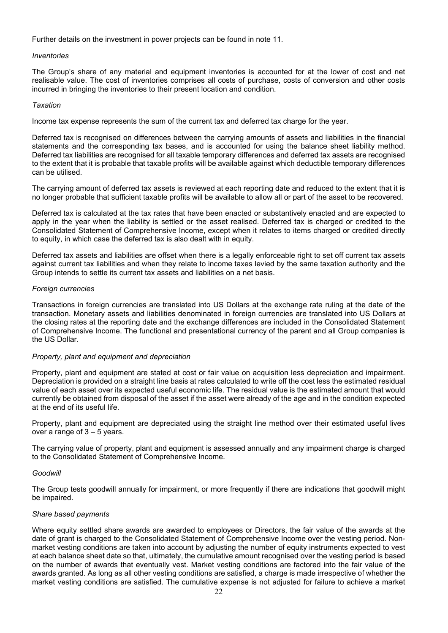Further details on the investment in power projects can be found in note 11.

### *Inventories*

The Group's share of any material and equipment inventories is accounted for at the lower of cost and net realisable value. The cost of inventories comprises all costs of purchase, costs of conversion and other costs incurred in bringing the inventories to their present location and condition.

### *Taxation*

Income tax expense represents the sum of the current tax and deferred tax charge for the year.

Deferred tax is recognised on differences between the carrying amounts of assets and liabilities in the financial statements and the corresponding tax bases, and is accounted for using the balance sheet liability method. Deferred tax liabilities are recognised for all taxable temporary differences and deferred tax assets are recognised to the extent that it is probable that taxable profits will be available against which deductible temporary differences can be utilised.

The carrying amount of deferred tax assets is reviewed at each reporting date and reduced to the extent that it is no longer probable that sufficient taxable profits will be available to allow all or part of the asset to be recovered.

Deferred tax is calculated at the tax rates that have been enacted or substantively enacted and are expected to apply in the year when the liability is settled or the asset realised. Deferred tax is charged or credited to the Consolidated Statement of Comprehensive Income, except when it relates to items charged or credited directly to equity, in which case the deferred tax is also dealt with in equity.

Deferred tax assets and liabilities are offset when there is a legally enforceable right to set off current tax assets against current tax liabilities and when they relate to income taxes levied by the same taxation authority and the Group intends to settle its current tax assets and liabilities on a net basis.

### *Foreign currencies*

Transactions in foreign currencies are translated into US Dollars at the exchange rate ruling at the date of the transaction. Monetary assets and liabilities denominated in foreign currencies are translated into US Dollars at the closing rates at the reporting date and the exchange differences are included in the Consolidated Statement of Comprehensive Income. The functional and presentational currency of the parent and all Group companies is the US Dollar.

#### *Property, plant and equipment and depreciation*

Property, plant and equipment are stated at cost or fair value on acquisition less depreciation and impairment. Depreciation is provided on a straight line basis at rates calculated to write off the cost less the estimated residual value of each asset over its expected useful economic life. The residual value is the estimated amount that would currently be obtained from disposal of the asset if the asset were already of the age and in the condition expected at the end of its useful life.

Property, plant and equipment are depreciated using the straight line method over their estimated useful lives over a range of  $3 - 5$  years.

The carrying value of property, plant and equipment is assessed annually and any impairment charge is charged to the Consolidated Statement of Comprehensive Income.

# *Goodwill*

The Group tests goodwill annually for impairment, or more frequently if there are indications that goodwill might be impaired.

#### *Share based payments*

Where equity settled share awards are awarded to employees or Directors, the fair value of the awards at the date of grant is charged to the Consolidated Statement of Comprehensive Income over the vesting period. Nonmarket vesting conditions are taken into account by adjusting the number of equity instruments expected to vest at each balance sheet date so that, ultimately, the cumulative amount recognised over the vesting period is based on the number of awards that eventually vest. Market vesting conditions are factored into the fair value of the awards granted. As long as all other vesting conditions are satisfied, a charge is made irrespective of whether the market vesting conditions are satisfied. The cumulative expense is not adjusted for failure to achieve a market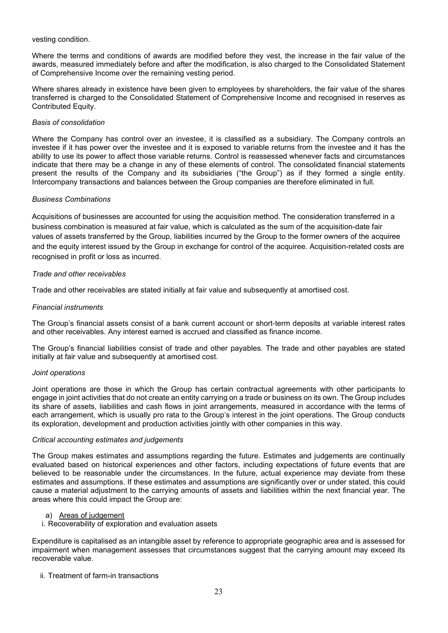#### vesting condition.

Where the terms and conditions of awards are modified before they vest, the increase in the fair value of the awards, measured immediately before and after the modification, is also charged to the Consolidated Statement of Comprehensive Income over the remaining vesting period.

Where shares already in existence have been given to employees by shareholders, the fair value of the shares transferred is charged to the Consolidated Statement of Comprehensive Income and recognised in reserves as Contributed Equity.

### *Basis of consolidation*

Where the Company has control over an investee, it is classified as a subsidiary. The Company controls an investee if it has power over the investee and it is exposed to variable returns from the investee and it has the ability to use its power to affect those variable returns. Control is reassessed whenever facts and circumstances indicate that there may be a change in any of these elements of control. The consolidated financial statements present the results of the Company and its subsidiaries ("the Group") as if they formed a single entity. Intercompany transactions and balances between the Group companies are therefore eliminated in full.

### *Business Combinations*

Acquisitions of businesses are accounted for using the acquisition method. The consideration transferred in a business combination is measured at fair value, which is calculated as the sum of the acquisition-date fair values of assets transferred by the Group, liabilities incurred by the Group to the former owners of the acquiree and the equity interest issued by the Group in exchange for control of the acquiree. Acquisition-related costs are recognised in profit or loss as incurred.

### *Trade and other receivables*

Trade and other receivables are stated initially at fair value and subsequently at amortised cost.

### *Financial instruments*

The Group's financial assets consist of a bank current account or short-term deposits at variable interest rates and other receivables. Any interest earned is accrued and classified as finance income.

The Group's financial liabilities consist of trade and other payables. The trade and other payables are stated initially at fair value and subsequently at amortised cost.

#### *Joint operations*

Joint operations are those in which the Group has certain contractual agreements with other participants to engage in joint activities that do not create an entity carrying on a trade or business on its own. The Group includes its share of assets, liabilities and cash flows in joint arrangements, measured in accordance with the terms of each arrangement, which is usually pro rata to the Group's interest in the joint operations. The Group conducts its exploration, development and production activities jointly with other companies in this way.

#### *Critical accounting estimates and judgements*

The Group makes estimates and assumptions regarding the future. Estimates and judgements are continually evaluated based on historical experiences and other factors, including expectations of future events that are believed to be reasonable under the circumstances. In the future, actual experience may deviate from these estimates and assumptions. If these estimates and assumptions are significantly over or under stated, this could cause a material adjustment to the carrying amounts of assets and liabilities within the next financial year. The areas where this could impact the Group are:

### a) Areas of judgement

i. Recoverability of exploration and evaluation assets

Expenditure is capitalised as an intangible asset by reference to appropriate geographic area and is assessed for impairment when management assesses that circumstances suggest that the carrying amount may exceed its recoverable value.

ii. Treatment of farm-in transactions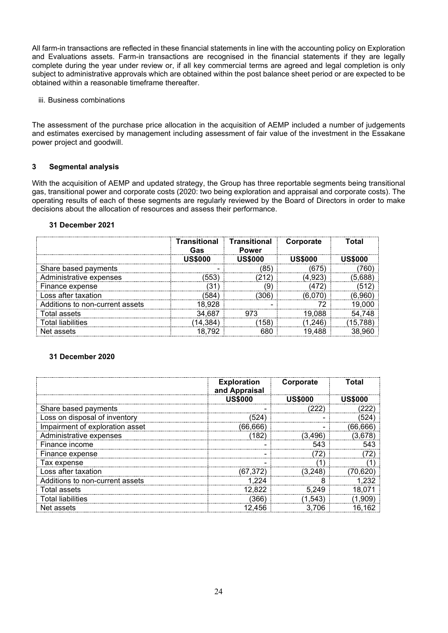All farm-in transactions are reflected in these financial statements in line with the accounting policy on Exploration and Evaluations assets. Farm-in transactions are recognised in the financial statements if they are legally complete during the year under review or, if all key commercial terms are agreed and legal completion is only subject to administrative approvals which are obtained within the post balance sheet period or are expected to be obtained within a reasonable timeframe thereafter.

#### iii. Business combinations

The assessment of the purchase price allocation in the acquisition of AEMP included a number of judgements and estimates exercised by management including assessment of fair value of the investment in the Essakane power project and goodwill.

### **3 Segmental analysis**

With the acquisition of AEMP and updated strategy, the Group has three reportable segments being transitional gas, transitional power and corporate costs (2020: two being exploration and appraisal and corporate costs). The operating results of each of these segments are regularly reviewed by the Board of Directors in order to make decisions about the allocation of resources and assess their performance.

#### **31 December 2021**

|                                 | Transitional<br>Gas | Transitional<br><b>Power</b> | Corporate | Total    |
|---------------------------------|---------------------|------------------------------|-----------|----------|
|                                 | <b>US\$000</b>      | 118\$000                     | US\$000   | . ISS000 |
| Share based payments            |                     | (85                          | (675      |          |
| Administrative expenses         | (553)               |                              |           |          |
| Finance expense                 |                     | 9                            |           |          |
| Loss after taxation             | 584'                | 306'                         |           |          |
| Additions to non-current assets | 18.928              |                              |           |          |
| Total assets                    | 34.687              |                              | 19.088    |          |
| Total liabilities               | 14,384.             | 158)                         | 1.246`    | 15.788   |
| Net assets                      |                     |                              | 488       |          |

#### **31 December 2020**

|                                 | <b>Exploration</b><br>and Appraisal | Corporate | Total    |
|---------------------------------|-------------------------------------|-----------|----------|
|                                 | <b>US\$000</b>                      |           | USS000   |
| Share based payments            |                                     | '222      |          |
| Loss on disposal of inventory   | 524                                 |           | 524      |
| Impairment of exploration asset | (66, 666)                           |           | (66,666) |
| Administrative expenses         | (182)                               | (3.496    | (3,678)  |
| Finance income                  |                                     | 543       |          |
| Finance expense                 |                                     |           |          |
| Tax expense                     |                                     |           |          |
| Loss after taxation             | (67.372                             | (3.248)   | 70.620   |
| Additions to non-current assets | 1.224                               | 8         | 1,232    |
| Total assets                    | 12.822                              | 5.249     | 18.071   |
| Total liabilities               | (366)                               | 1,543     | 1,909    |
| Net assets                      | 12.456                              | 3.706     | 16.162   |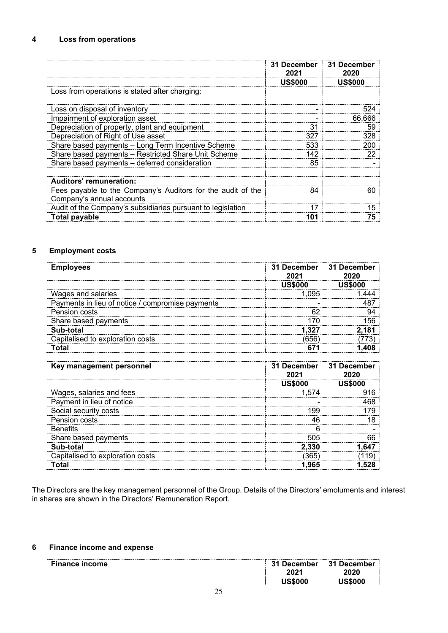|                                                             | 31 December<br>2021 | <b>31 December</b><br>2020 |
|-------------------------------------------------------------|---------------------|----------------------------|
|                                                             | <b>US\$000</b>      | <b>US\$000</b>             |
| Loss from operations is stated after charging:              |                     |                            |
| Loss on disposal of inventory                               |                     | 524                        |
| Impairment of exploration asset                             |                     | 66,666                     |
| Depreciation of property, plant and equipment               | 31                  | 59                         |
| Depreciation of Right of Use asset                          | 327                 | 328                        |
| Share based payments - Long Term Incentive Scheme           | 533                 | 200                        |
| Share based payments - Restricted Share Unit Scheme         | 142                 | 22                         |
| Share based payments - deferred consideration               | 85                  |                            |
| <b>Auditors' remuneration:</b>                              |                     |                            |
| Fees payable to the Company's Auditors for the audit of the | 84                  | 60                         |
| Company's annual accounts                                   |                     |                            |
| Audit of the Company's subsidiaries pursuant to legislation | 17                  | 15                         |
| Total payable                                               | 101                 | 75                         |

# **5 Employment costs**

| <b>Employees</b>                                 | 31 December : 31 December |  |
|--------------------------------------------------|---------------------------|--|
|                                                  |                           |  |
| Wages and salaries                               | 095                       |  |
| Payments in lieu of notice / compromise payments |                           |  |
| Pension costs                                    | r r                       |  |
| Share based payments                             |                           |  |
| <b>b-total</b>                                   |                           |  |
| pitalised to exploration costs                   |                           |  |
|                                                  |                           |  |

| Key management personnel         | 31 December 31 December<br>2021 |  |
|----------------------------------|---------------------------------|--|
|                                  | US\$000                         |  |
| Wages, salaries and fees         | 1.574                           |  |
| Payment in lieu of notice        |                                 |  |
| Social security costs            | .99                             |  |
| Pension costs                    | 46                              |  |
| <b>Benefits</b>                  |                                 |  |
| Share based payments             | 505                             |  |
| Sub-total                        | 2.330                           |  |
| Capitalised to exploration costs | 365                             |  |
| <b>Total</b>                     |                                 |  |

The Directors are the key management personnel of the Group. Details of the Directors' emoluments and interest in shares are shown in the Directors' Remuneration Report.

# **6 Finance income and expense**

| <b>Finance income</b> | December<br>2021 | . December<br>31<br>----------------                       |
|-----------------------|------------------|------------------------------------------------------------|
|                       |                  | ------------------<br>------------------------------------ |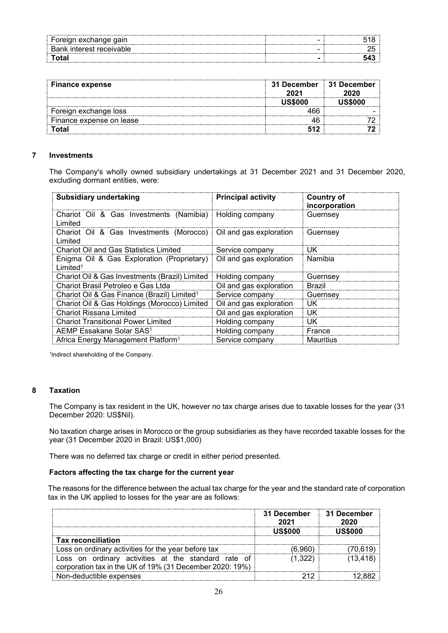| exchand          |   |  |
|------------------|---|--|
| interest receiva | . |  |
|                  |   |  |

| <b>Finance expense</b>   | 31 December : 31 December<br>2021 | 2020 |
|--------------------------|-----------------------------------|------|
|                          | <b>JS\$000</b>                    |      |
| Foreign exchange loss    |                                   |      |
| Finance expense on lease |                                   |      |
| Гоtal                    |                                   |      |

### **7 Investments**

The Company's wholly owned subsidiary undertakings at 31 December 2021 and 31 December 2020, excluding dormant entities, were:

| <b>Subsidiary undertaking</b>                                                | <b>Principal activity</b> | <b>Country of</b><br>incorporation |
|------------------------------------------------------------------------------|---------------------------|------------------------------------|
| Chariot Oil & Gas Investments (Namibia)   Holding company<br>Limited         |                           | Guernsey                           |
| Chariot Oil & Gas Investments (Morocco)   Oil and gas exploration<br>Limited |                           | Guernsey                           |
| <b>Chariot Oil and Gas Statistics Limited</b>                                | Service company           | UK                                 |
| Enigma Oil & Gas Exploration (Proprietary)<br>Limited <sup>1</sup>           | Oil and gas exploration   | Namibia                            |
| Chariot Oil & Gas Investments (Brazil) Limited                               | Holding company           | Guernsey                           |
| Chariot Brasil Petroleo e Gas Ltda                                           | Oil and gas exploration   | Brazil                             |
| Chariot Oil & Gas Finance (Brazil) Limited <sup>1</sup>                      | Service company           | Guernsey                           |
| Chariot Oil & Gas Holdings (Morocco) Limited                                 | Oil and gas exploration   | UK                                 |
| <b>Chariot Rissana Limited</b>                                               | Oil and gas exploration   | UK.                                |
| <b>Chariot Transitional Power Limited</b>                                    | Holding company           | UK                                 |
| AEMP Essakane Solar SAS <sup>1</sup>                                         | Holding company           | France                             |
| Africa Energy Management Platform <sup>1</sup>                               | Service company           | Mauritius                          |

1 Indirect shareholding of the Company.

### **8 Taxation**

The Company is tax resident in the UK, however no tax charge arises due to taxable losses for the year (31 December 2020: US\$Nil).

No taxation charge arises in Morocco or the group subsidiaries as they have recorded taxable losses for the year (31 December 2020 in Brazil: US\$1,000)

There was no deferred tax charge or credit in either period presented.

#### **Factors affecting the tax charge for the current year**

The reasons for the difference between the actual tax charge for the year and the standard rate of corporation tax in the UK applied to losses for the year are as follows:

|                                                                                                                 | 31 December<br>2021 | <b>31 December</b><br>2020 |
|-----------------------------------------------------------------------------------------------------------------|---------------------|----------------------------|
|                                                                                                                 | 18\$000             |                            |
| <b>Tax reconciliation</b>                                                                                       |                     |                            |
| Loss on ordinary activities for the year before tax                                                             |                     |                            |
| Loss on ordinary activities at the standard rate of<br>corporation tax in the UK of 19% (31 December 2020: 19%) |                     |                            |
| Non-deductible expenses                                                                                         |                     |                            |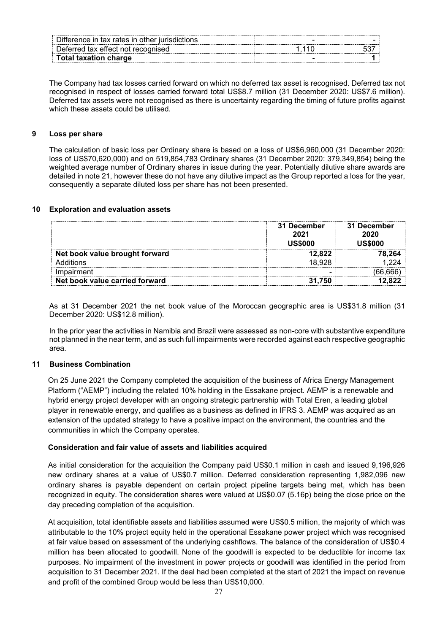| Difference in tax rates in other iurisdictions                            |  |
|---------------------------------------------------------------------------|--|
| Deferred tax effect not recognised                                        |  |
| <b>Total taxation charge</b><br>------------------ <del>--</del> -------- |  |

The Company had tax losses carried forward on which no deferred tax asset is recognised. Deferred tax not recognised in respect of losses carried forward total US\$8.7 million (31 December 2020: US\$7.6 million). Deferred tax assets were not recognised as there is uncertainty regarding the timing of future profits against which these assets could be utilised.

### **9 Loss per share**

The calculation of basic loss per Ordinary share is based on a loss of US\$6,960,000 (31 December 2020: loss of US\$70,620,000) and on 519,854,783 Ordinary shares (31 December 2020: 379,349,854) being the weighted average number of Ordinary shares in issue during the year. Potentially dilutive share awards are detailed in note 21, however these do not have any dilutive impact as the Group reported a loss for the year, consequently a separate diluted loss per share has not been presented.

### **10 Exploration and evaluation assets**

|                                | 31 December<br>2021 | <b>31 December</b><br>2020 |
|--------------------------------|---------------------|----------------------------|
|                                | ussooo              | US\$000                    |
| Net book value brought forward | 12.822              |                            |
| ⊾dditions                      | 18.928              |                            |
| Impairment                     |                     |                            |
| Net book value carried forward | 31.750              |                            |

As at 31 December 2021 the net book value of the Moroccan geographic area is US\$31.8 million (31 December 2020: US\$12.8 million).

In the prior year the activities in Namibia and Brazil were assessed as non-core with substantive expenditure not planned in the near term, and as such full impairments were recorded against each respective geographic area.

#### **11 Business Combination**

On 25 June 2021 the Company completed the acquisition of the business of Africa Energy Management Platform ("AEMP") including the related 10% holding in the Essakane project. AEMP is a renewable and hybrid energy project developer with an ongoing strategic partnership with Total Eren, a leading global player in renewable energy, and qualifies as a business as defined in IFRS 3. AEMP was acquired as an extension of the updated strategy to have a positive impact on the environment, the countries and the communities in which the Company operates.

#### **Consideration and fair value of assets and liabilities acquired**

As initial consideration for the acquisition the Company paid US\$0.1 million in cash and issued 9,196,926 new ordinary shares at a value of US\$0.7 million. Deferred consideration representing 1,982,096 new ordinary shares is payable dependent on certain project pipeline targets being met, which has been recognized in equity. The consideration shares were valued at US\$0.07 (5.16p) being the close price on the day preceding completion of the acquisition.

At acquisition, total identifiable assets and liabilities assumed were US\$0.5 million, the majority of which was attributable to the 10% project equity held in the operational Essakane power project which was recognised at fair value based on assessment of the underlying cashflows. The balance of the consideration of US\$0.4 million has been allocated to goodwill. None of the goodwill is expected to be deductible for income tax purposes. No impairment of the investment in power projects or goodwill was identified in the period from acquisition to 31 December 2021. If the deal had been completed at the start of 2021 the impact on revenue and profit of the combined Group would be less than US\$10,000.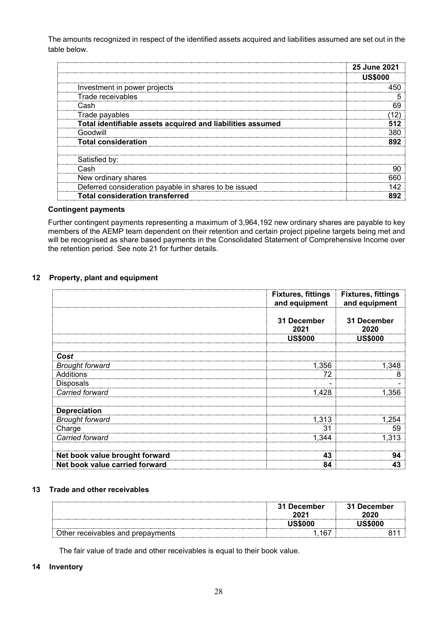The amounts recognized in respect of the identified assets acquired and liabilities assumed are set out in the table below.

|                                                            | <b>25 June 2021</b> |
|------------------------------------------------------------|---------------------|
|                                                            | US\$000             |
| Investment in power projects                               |                     |
| Trade receivables                                          |                     |
| Cash                                                       |                     |
| Trade payables                                             |                     |
| Total identifiable assets acquired and liabilities assumed |                     |
| Goodwill                                                   |                     |
| <b>Total consideration</b>                                 | <b>802</b>          |
| Satisfied by:                                              |                     |
| Cash                                                       |                     |
| New ordinary shares                                        |                     |
| Deferred consideration payable in shares to be issued      |                     |
| <b>Total consideration transferred</b>                     |                     |

### **Contingent payments**

Further contingent payments representing a maximum of 3,964,192 new ordinary shares are payable to key members of the AEMP team dependent on their retention and certain project pipeline targets being met and will be recognised as share based payments in the Consolidated Statement of Comprehensive Income over the retention period. See note 21 for further details.

### **12 Property, plant and equipment**

|                                | <b>Fixtures, fittings</b><br>and equipment | <b>Fixtures, fittings</b><br>and equipment |
|--------------------------------|--------------------------------------------|--------------------------------------------|
|                                | 31 December<br>2021                        | 31 December<br>2020                        |
|                                | <b>US\$000</b>                             | <b>US\$000</b>                             |
| Cost                           |                                            |                                            |
| <b>Brought forward</b>         | 1,356                                      | 1,348                                      |
| Additions                      | 72                                         | 8                                          |
| <b>Disposals</b>               |                                            |                                            |
| Carried forward                | 1,428                                      | 1,356                                      |
| <b>Depreciation</b>            |                                            |                                            |
| <b>Brought forward</b>         | 1,313                                      | 1,254                                      |
| Charge                         | 31                                         | 59                                         |
| Carried forward                | 1,344                                      | 1,313                                      |
| Net book value brought forward | 43                                         | 94                                         |
| Net book value carried forward | 84                                         | 43                                         |

#### **13 Trade and other receivables**

|                                      | ∣ December<br>31 | December<br>2020 |
|--------------------------------------|------------------|------------------|
|                                      |                  |                  |
| )ther<br>receivables and prepayments | $16^-$<br>ັ      |                  |

The fair value of trade and other receivables is equal to their book value.

# **14 Inventory**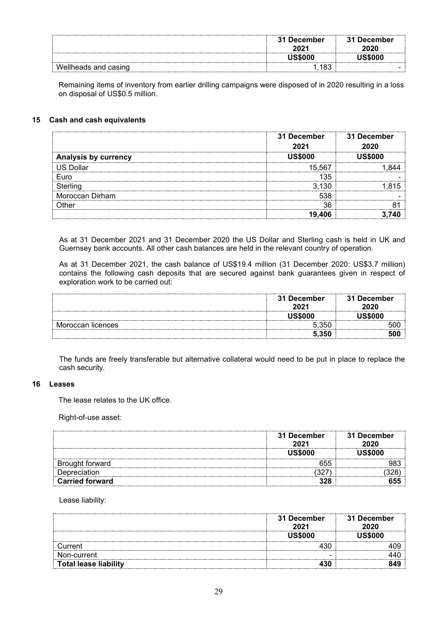|                      | 31 December<br>2021 | 31 December<br>2020 |
|----------------------|---------------------|---------------------|
|                      | <b>JS\$000</b>      | <b>JS\$000</b>      |
| Wellheads and casing | .183                |                     |

Remaining items of inventory from earlier drilling campaigns were disposed of in 2020 resulting in a loss on disposal of US\$0.5 million.

### **15 Cash and cash equivalents**

|                             | 31 December<br>2021 | 31 December<br>2020 |
|-----------------------------|---------------------|---------------------|
| <b>Analysis by currency</b> |                     |                     |
| US Dollar                   | 15.567              |                     |
| Euro                        | 135                 |                     |
|                             | . 130               |                     |
| Moroccan Dirham             | 538                 |                     |
| )ther                       | 36                  |                     |
|                             | 19.406              |                     |

As at 31 December 2021 and 31 December 2020 the US Dollar and Sterling cash is held in UK and Guernsey bank accounts. All other cash balances are held in the relevant country of operation.

As at 31 December 2021, the cash balance of US\$19.4 million (31 December 2020: US\$3.7 million) contains the following cash deposits that are secured against bank guarantees given in respect of exploration work to be carried out:

|                   | 31 December<br>2021 | 31 December<br>2020 |
|-------------------|---------------------|---------------------|
|                   |                     |                     |
| Moroccan licences | 35C                 |                     |
|                   | 5.350               |                     |

The funds are freely transferable but alternative collateral would need to be put in place to replace the cash security.

#### **16 Leases**

The lease relates to the UK office.

Right-of-use asset:

|                        | 31 December<br>2021 | 31 December<br>2020 |
|------------------------|---------------------|---------------------|
|                        | <b>JS\$000</b>      | IS\$000             |
| Brought forward        | 655                 |                     |
| Depreciation           |                     |                     |
| <b>Carried forward</b> |                     |                     |

Lease liability:

|                              | 31 December<br>2021 | 31 December<br>2020 |
|------------------------------|---------------------|---------------------|
|                              | <b>US\$000</b>      |                     |
| urrent                       |                     |                     |
| on-current                   |                     |                     |
| <b>Total lease liability</b> |                     |                     |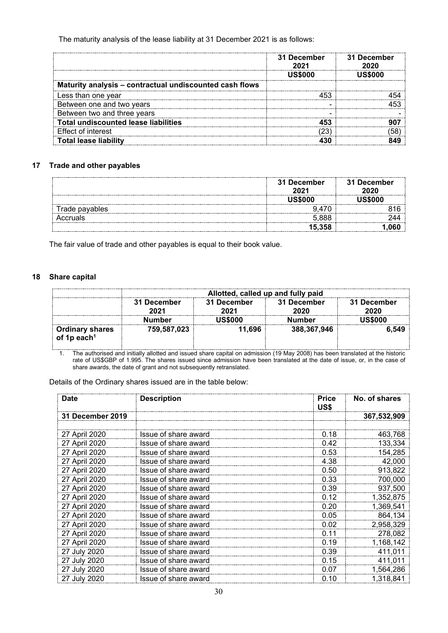The maturity analysis of the lease liability at 31 December 2021 is as follows:

|                                                         | 31 December<br>2021 | <b>31 December</b><br>2020 |
|---------------------------------------------------------|---------------------|----------------------------|
|                                                         | . ISS000            |                            |
| Maturity analysis - contractual undiscounted cash flows |                     |                            |
| Less than one year                                      |                     |                            |
| Between one and two years                               |                     |                            |
| Between two and three years                             |                     |                            |
| <b>Total undiscounted lease liabilities</b>             |                     |                            |
| <b>Effect of interest</b>                               |                     |                            |
| Гotal lease liabilitv                                   |                     |                            |

### **17 Trade and other payables**

|                | 31 December<br>2021 | 31 December<br>2020 |
|----------------|---------------------|---------------------|
|                | JS\$000             | US\$000             |
| Trade payables |                     |                     |
| Accruals       | 5,888               |                     |
|                | 15,358              |                     |

The fair value of trade and other payables is equal to their book value.

### **18 Share capital**

|                                                   | Allotted, called up and fully paid                                |         |             |         |  |      |             |
|---------------------------------------------------|-------------------------------------------------------------------|---------|-------------|---------|--|------|-------------|
|                                                   | 31 December<br>31 December<br>31 December<br>2021<br>2021<br>2020 |         |             |         |  | 2020 | 31 December |
|                                                   | Number                                                            | JS\$000 | Number      | JS\$000 |  |      |             |
| <b>Ordinary shares</b><br>of 1p each <sup>1</sup> | 759,587,023                                                       | 11.696  | 388,367,946 | 6.549   |  |      |             |

1. The authorised and initially allotted and issued share capital on admission (19 May 2008) has been translated at the historic rate of US\$GBP of 1.995. The shares issued since admission have been translated at the date of issue, or, in the case of share awards, the date of grant and not subsequently retranslated.

Details of the Ordinary shares issued are in the table below:

| <b>Date</b>      | <b>Description</b>   | <b>Price</b><br>US\$ | No. of shares |
|------------------|----------------------|----------------------|---------------|
| 31 December 2019 |                      |                      | 367,532,909   |
|                  |                      |                      |               |
| 27 April 2020    | Issue of share award | 0.18                 | 463,768       |
| 27 April 2020    | Issue of share award | 0.42                 | 133,334       |
| 27 April 2020    | Issue of share award | 0.53                 | 154,285       |
| 27 April 2020    | Issue of share award | 4.38                 | 42,000        |
| 27 April 2020    | Issue of share award | 0.50                 | 913,822       |
| 27 April 2020    | Issue of share award | 0.33                 | 700,000       |
| 27 April 2020    | Issue of share award | 0.39                 | 937,500       |
| 27 April 2020    | Issue of share award | 0.12                 | 1,352,875     |
| 27 April 2020    | Issue of share award | 0.20                 | 1,369,541     |
| 27 April 2020    | Issue of share award | 0.05                 | 864,134       |
| 27 April 2020    | Issue of share award | 0.02                 | 2,958,329     |
| 27 April 2020    | Issue of share award | 0.11                 | 278,082       |
| 27 April 2020    | Issue of share award | 0.19                 | 1,168,142     |
| 27 July 2020     | Issue of share award | 0.39                 | 411,011       |
| 27 July 2020     | Issue of share award | 0.15                 | 411,011       |
| 27 July 2020     | Issue of share award | 0.07                 | 1,564,286     |
| 27 July 2020     | Issue of share award | 0.10                 | 1,318,841     |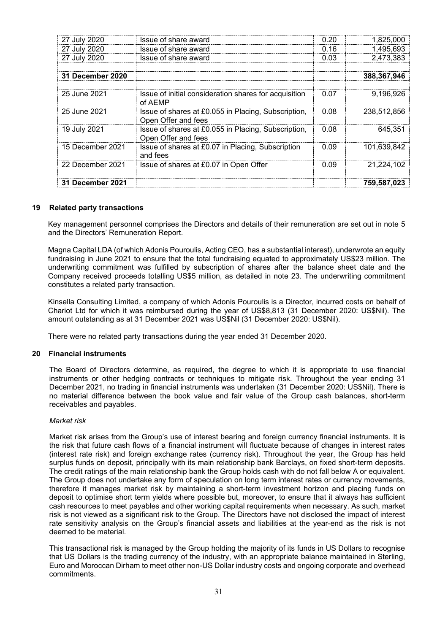| 27 July 2020            | Issue of share award                                                       | 0.20 | 1,825,000   |
|-------------------------|----------------------------------------------------------------------------|------|-------------|
| 27 July 2020            | Issue of share award                                                       | 0.16 | 1,495,693   |
| 27 July 2020            | Issue of share award                                                       | 0.03 | 2,473,383   |
|                         |                                                                            |      |             |
| <b>31 December 2020</b> |                                                                            |      | 388,367,946 |
|                         |                                                                            |      |             |
| 25 June 2021            | Issue of initial consideration shares for acquisition<br>of AEMP           | 0.07 | 9.196.926   |
| 25 June 2021            | Issue of shares at £0.055 in Placing, Subscription,<br>Open Offer and fees | 0.08 | 238.512.856 |
| 19 July 2021            | Issue of shares at £0.055 in Placing, Subscription,<br>Open Offer and fees | 0.08 | 645.351     |
| 15 December 2021        | Issue of shares at £0.07 in Placing, Subscription<br>and fees              | 0.09 | 101,639,842 |
| 22 December 2021        | Issue of shares at £0.07 in Open Offer                                     | 0.09 | 21,224,102  |
|                         |                                                                            |      |             |
| <b>31 December 2021</b> |                                                                            |      | 759,587,023 |

### **19 Related party transactions**

Key management personnel comprises the Directors and details of their remuneration are set out in note 5 and the Directors' Remuneration Report.

Magna Capital LDA (of which Adonis Pouroulis, Acting CEO, has a substantial interest), underwrote an equity fundraising in June 2021 to ensure that the total fundraising equated to approximately US\$23 million. The underwriting commitment was fulfilled by subscription of shares after the balance sheet date and the Company received proceeds totalling US\$5 million, as detailed in note 23. The underwriting commitment constitutes a related party transaction.

Kinsella Consulting Limited, a company of which Adonis Pouroulis is a Director, incurred costs on behalf of Chariot Ltd for which it was reimbursed during the year of US\$8,813 (31 December 2020: US\$Nil). The amount outstanding as at 31 December 2021 was US\$Nil (31 December 2020: US\$Nil).

There were no related party transactions during the year ended 31 December 2020.

#### **20 Financial instruments**

The Board of Directors determine, as required, the degree to which it is appropriate to use financial instruments or other hedging contracts or techniques to mitigate risk. Throughout the year ending 31 December 2021, no trading in financial instruments was undertaken (31 December 2020: US\$Nil). There is no material difference between the book value and fair value of the Group cash balances, short-term receivables and payables.

#### *Market risk*

Market risk arises from the Group's use of interest bearing and foreign currency financial instruments. It is the risk that future cash flows of a financial instrument will fluctuate because of changes in interest rates (interest rate risk) and foreign exchange rates (currency risk). Throughout the year, the Group has held surplus funds on deposit, principally with its main relationship bank Barclays, on fixed short-term deposits. The credit ratings of the main relationship bank the Group holds cash with do not fall below A or equivalent. The Group does not undertake any form of speculation on long term interest rates or currency movements, therefore it manages market risk by maintaining a short-term investment horizon and placing funds on deposit to optimise short term yields where possible but, moreover, to ensure that it always has sufficient cash resources to meet payables and other working capital requirements when necessary. As such, market risk is not viewed as a significant risk to the Group. The Directors have not disclosed the impact of interest rate sensitivity analysis on the Group's financial assets and liabilities at the year-end as the risk is not deemed to be material.

This transactional risk is managed by the Group holding the majority of its funds in US Dollars to recognise that US Dollars is the trading currency of the industry, with an appropriate balance maintained in Sterling, Euro and Moroccan Dirham to meet other non-US Dollar industry costs and ongoing corporate and overhead commitments.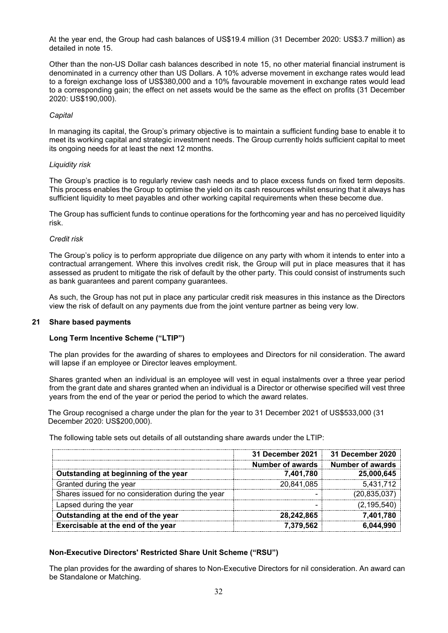At the year end, the Group had cash balances of US\$19.4 million (31 December 2020: US\$3.7 million) as detailed in note 15.

Other than the non-US Dollar cash balances described in note 15, no other material financial instrument is denominated in a currency other than US Dollars. A 10% adverse movement in exchange rates would lead to a foreign exchange loss of US\$380,000 and a 10% favourable movement in exchange rates would lead to a corresponding gain; the effect on net assets would be the same as the effect on profits (31 December 2020: US\$190,000).

#### *Capital*

In managing its capital, the Group's primary objective is to maintain a sufficient funding base to enable it to meet its working capital and strategic investment needs. The Group currently holds sufficient capital to meet its ongoing needs for at least the next 12 months.

### *Liquidity risk*

The Group's practice is to regularly review cash needs and to place excess funds on fixed term deposits. This process enables the Group to optimise the yield on its cash resources whilst ensuring that it always has sufficient liquidity to meet payables and other working capital requirements when these become due.

The Group has sufficient funds to continue operations for the forthcoming year and has no perceived liquidity risk.

#### *Credit risk*

The Group's policy is to perform appropriate due diligence on any party with whom it intends to enter into a contractual arrangement. Where this involves credit risk, the Group will put in place measures that it has assessed as prudent to mitigate the risk of default by the other party. This could consist of instruments such as bank guarantees and parent company guarantees.

As such, the Group has not put in place any particular credit risk measures in this instance as the Directors view the risk of default on any payments due from the joint venture partner as being very low.

#### **21 Share based payments**

# **Long Term Incentive Scheme ("LTIP")**

The plan provides for the awarding of shares to employees and Directors for nil consideration. The award will lapse if an employee or Director leaves employment.

Shares granted when an individual is an employee will vest in equal instalments over a three year period from the grant date and shares granted when an individual is a Director or otherwise specified will vest three years from the end of the year or period the period to which the award relates.

The Group recognised a charge under the plan for the year to 31 December 2021 of US\$533,000 (31 December 2020: US\$200,000).

The following table sets out details of all outstanding share awards under the LTIP:

|                                                    | 31 December 2021 | <b>31 December 2020</b> |
|----------------------------------------------------|------------------|-------------------------|
|                                                    | Number of awards | Number of awards        |
| Outstanding at beginning of the year               | 7,401,780        | 25,000,645              |
| Granted during the year                            | 20,841,085       | 5,431,712               |
| Shares issued for no consideration during the year |                  | (20, 835, 037)          |
| Lapsed during the year                             |                  | (2, 195, 540)           |
| Outstanding at the end of the year                 | 28,242,865       | 7,401,780               |
| Exercisable at the end of the year                 | 7,379,562        | 6,044,990               |

# **Non-Executive Directors' Restricted Share Unit Scheme ("RSU")**

The plan provides for the awarding of shares to Non-Executive Directors for nil consideration. An award can be Standalone or Matching.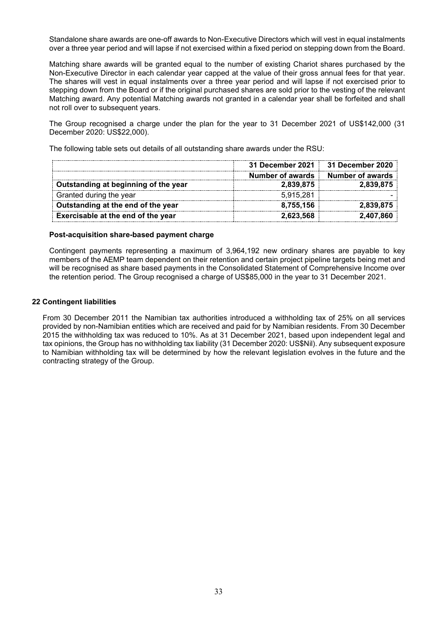Standalone share awards are one-off awards to Non-Executive Directors which will vest in equal instalments over a three year period and will lapse if not exercised within a fixed period on stepping down from the Board.

Matching share awards will be granted equal to the number of existing Chariot shares purchased by the Non-Executive Director in each calendar year capped at the value of their gross annual fees for that year. The shares will vest in equal instalments over a three year period and will lapse if not exercised prior to stepping down from the Board or if the original purchased shares are sold prior to the vesting of the relevant Matching award. Any potential Matching awards not granted in a calendar year shall be forfeited and shall not roll over to subsequent years.

The Group recognised a charge under the plan for the year to 31 December 2021 of US\$142,000 (31 December 2020: US\$22,000).

**31 December 2021 31 December 2020 Number of awards Number of awards Outstanding at beginning of the year** Granted during the year 5,915,281 **Outstanding at the end of the year 8,755,156 2,839,875 Exercisable at the end of the year 2,623,568 2,407,860**

The following table sets out details of all outstanding share awards under the RSU:

#### **Post-acquisition share-based payment charge**

Contingent payments representing a maximum of 3,964,192 new ordinary shares are payable to key members of the AEMP team dependent on their retention and certain project pipeline targets being met and will be recognised as share based payments in the Consolidated Statement of Comprehensive Income over the retention period. The Group recognised a charge of US\$85,000 in the year to 31 December 2021.

### **22 Contingent liabilities**

From 30 December 2011 the Namibian tax authorities introduced a withholding tax of 25% on all services provided by non-Namibian entities which are received and paid for by Namibian residents. From 30 December 2015 the withholding tax was reduced to 10%. As at 31 December 2021, based upon independent legal and tax opinions, the Group has no withholding tax liability (31 December 2020: US\$Nil). Any subsequent exposure to Namibian withholding tax will be determined by how the relevant legislation evolves in the future and the contracting strategy of the Group.